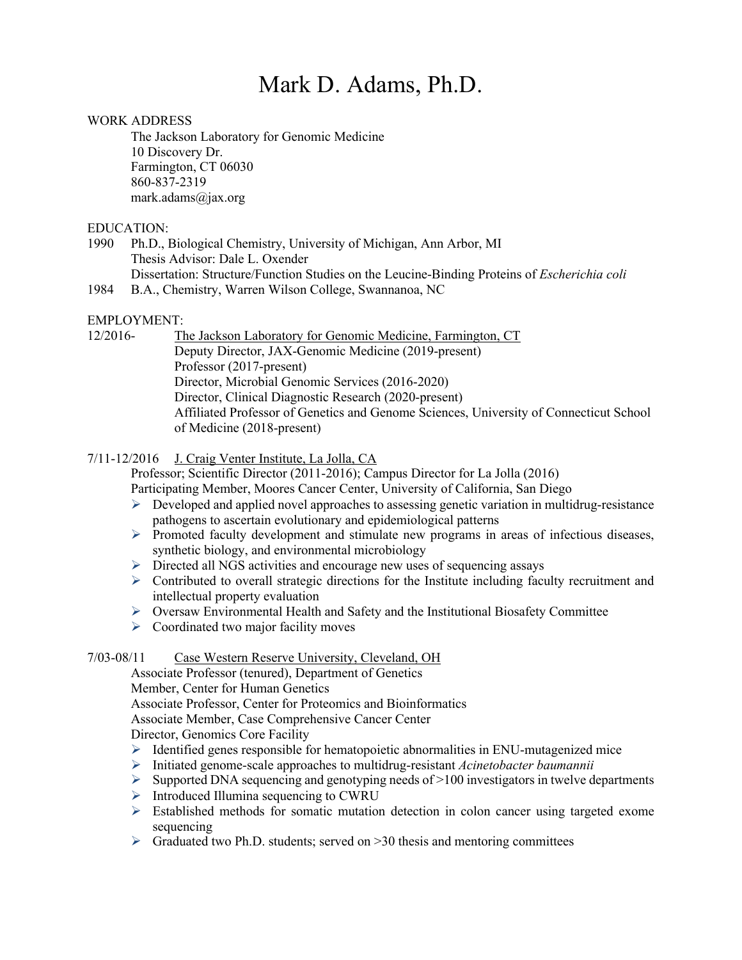# Mark D. Adams, Ph.D.

#### WORK ADDRESS

The Jackson Laboratory for Genomic Medicine 10 Discovery Dr. Farmington, CT 06030 860-837-2319 mark.adams@jax.org

#### EDUCATION:

1990 Ph.D., Biological Chemistry, University of Michigan, Ann Arbor, MI Thesis Advisor: Dale L. Oxender Dissertation: Structure/Function Studies on the Leucine-Binding Proteins of *Escherichia coli*

1984 B.A., Chemistry, Warren Wilson College, Swannanoa, NC

## EMPLOYMENT:

12/2016- The Jackson Laboratory for Genomic Medicine, Farmington, CT Deputy Director, JAX-Genomic Medicine (2019-present) Professor (2017-present) Director, Microbial Genomic Services (2016-2020) Director, Clinical Diagnostic Research (2020-present) Affiliated Professor of Genetics and Genome Sciences, University of Connecticut School of Medicine (2018-present)

7/11-12/2016 J. Craig Venter Institute, La Jolla, CA

Professor; Scientific Director (2011-2016); Campus Director for La Jolla (2016) Participating Member, Moores Cancer Center, University of California, San Diego

- $\triangleright$  Developed and applied novel approaches to assessing genetic variation in multidrug-resistance pathogens to ascertain evolutionary and epidemiological patterns
- Ø Promoted faculty development and stimulate new programs in areas of infectious diseases, synthetic biology, and environmental microbiology
- $\triangleright$  Directed all NGS activities and encourage new uses of sequencing assays
- $\triangleright$  Contributed to overall strategic directions for the Institute including faculty recruitment and intellectual property evaluation
- $\triangleright$  Oversaw Environmental Health and Safety and the Institutional Biosafety Committee
- $\triangleright$  Coordinated two major facility moves

#### 7/03-08/11 Case Western Reserve University, Cleveland, OH

Associate Professor (tenured), Department of Genetics Member, Center for Human Genetics Associate Professor, Center for Proteomics and Bioinformatics Associate Member, Case Comprehensive Cancer Center Director, Genomics Core Facility

- $\triangleright$  Identified genes responsible for hematopoietic abnormalities in ENU-mutagenized mice
- Ø Initiated genome-scale approaches to multidrug-resistant *Acinetobacter baumannii*
- $\triangleright$  Supported DNA sequencing and genotyping needs of >100 investigators in twelve departments
- $\triangleright$  Introduced Illumina sequencing to CWRU
- $\triangleright$  Established methods for somatic mutation detection in colon cancer using targeted exome sequencing
- $\triangleright$  Graduated two Ph.D. students; served on  $>30$  thesis and mentoring committees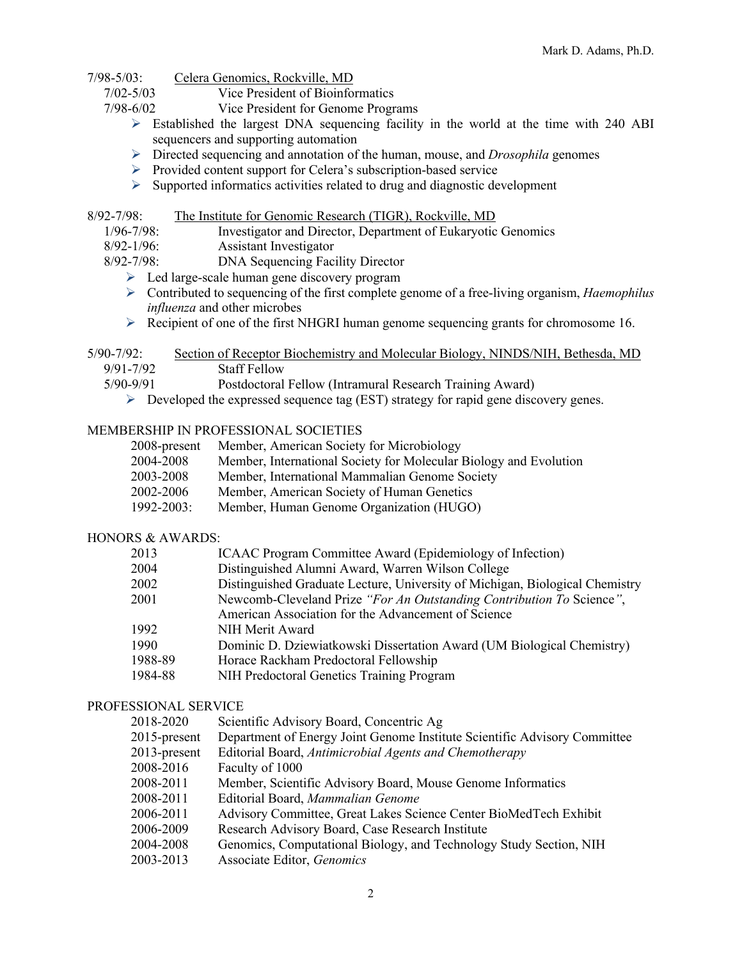- 7/98-5/03: Celera Genomics, Rockville, MD
	- 7/02-5/03 Vice President of Bioinformatics
	- 7/98-6/02 Vice President for Genome Programs
		- $\triangleright$  Established the largest DNA sequencing facility in the world at the time with 240 ABI sequencers and supporting automation
		- Ø Directed sequencing and annotation of the human, mouse, and *Drosophila* genomes
		- $\triangleright$  Provided content support for Celera's subscription-based service
		- $\triangleright$  Supported informatics activities related to drug and diagnostic development

### 8/92-7/98: The Institute for Genomic Research (TIGR), Rockville, MD

- 1/96-7/98: Investigator and Director, Department of Eukaryotic Genomics
- 8/92-1/96: Assistant Investigator
- 8/92-7/98: DNA Sequencing Facility Director
	- $\triangleright$  Led large-scale human gene discovery program
	- Ø Contributed to sequencing of the first complete genome of a free-living organism, *Haemophilus influenza* and other microbes
	- $\triangleright$  Recipient of one of the first NHGRI human genome sequencing grants for chromosome 16.
- 5/90-7/92: Section of Receptor Biochemistry and Molecular Biology, NINDS/NIH, Bethesda, MD 9/91-7/92 Staff Fellow
	-
	- 5/90-9/91 Postdoctoral Fellow (Intramural Research Training Award)
		- $\triangleright$  Developed the expressed sequence tag (EST) strategy for rapid gene discovery genes.

## MEMBERSHIP IN PROFESSIONAL SOCIETIES

- 2008-present Member, American Society for Microbiology
- 2004-2008 Member, International Society for Molecular Biology and Evolution
- 2003-2008 Member, International Mammalian Genome Society
- 2002-2006 Member, American Society of Human Genetics
- 1992-2003: Member, Human Genome Organization (HUGO)

#### HONORS & AWARDS:

| 2013    | ICAAC Program Committee Award (Epidemiology of Infection)                    |
|---------|------------------------------------------------------------------------------|
| 2004    | Distinguished Alumni Award, Warren Wilson College                            |
| 2002    | Distinguished Graduate Lecture, University of Michigan, Biological Chemistry |
| 2001    | Newcomb-Cleveland Prize "For An Outstanding Contribution To Science",        |
|         | American Association for the Advancement of Science                          |
| 1992    | NIH Merit Award                                                              |
| 1990    | Dominic D. Dziewiatkowski Dissertation Award (UM Biological Chemistry)       |
| 1988-89 | Horace Rackham Predoctoral Fellowship                                        |
| 1984-88 | NIH Predoctoral Genetics Training Program                                    |

#### PROFESSIONAL SERVICE

| 2018-2020       | Scientific Advisory Board, Concentric Ag                                  |
|-----------------|---------------------------------------------------------------------------|
| 2015-present    | Department of Energy Joint Genome Institute Scientific Advisory Committee |
| $2013$ -present | Editorial Board, Antimicrobial Agents and Chemotherapy                    |
| 2008-2016       | Faculty of 1000                                                           |
| 2008-2011       | Member, Scientific Advisory Board, Mouse Genome Informatics               |
| 2008-2011       | Editorial Board, Mammalian Genome                                         |
| 2006-2011       | Advisory Committee, Great Lakes Science Center BioMedTech Exhibit         |
| 2006-2009       | Research Advisory Board, Case Research Institute                          |
| 2004-2008       | Genomics, Computational Biology, and Technology Study Section, NIH        |
| 2003-2013       | Associate Editor, Genomics                                                |
|                 |                                                                           |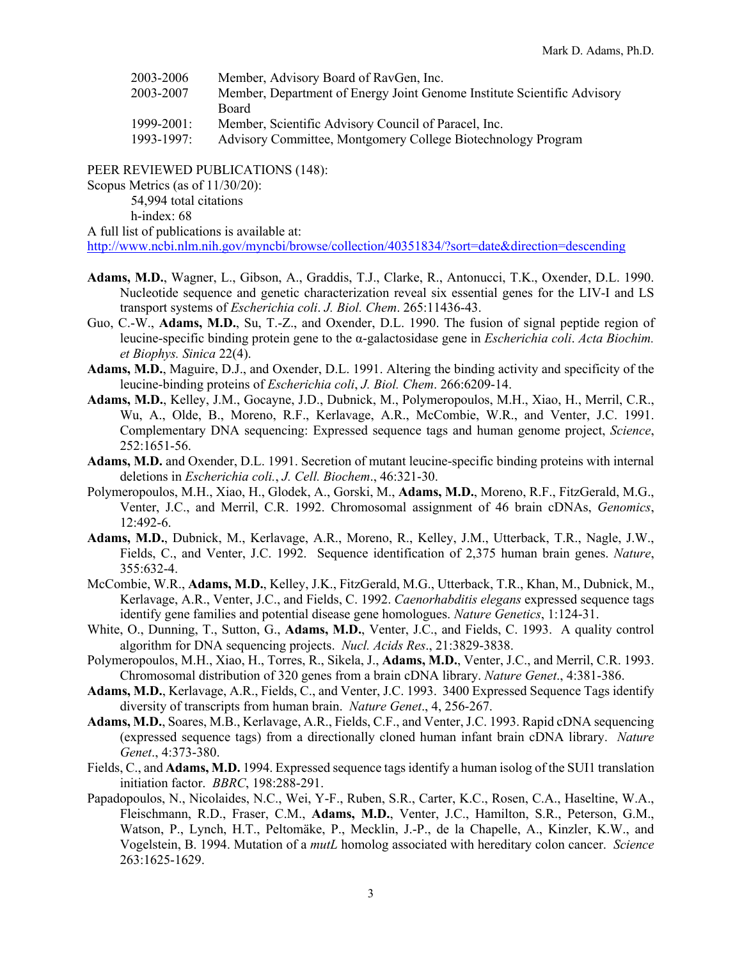| 2003-2006  | Member, Advisory Board of RavGen, Inc.                                  |
|------------|-------------------------------------------------------------------------|
| 2003-2007  | Member, Department of Energy Joint Genome Institute Scientific Advisory |
|            | Board                                                                   |
| 1999-2001: | Member, Scientific Advisory Council of Paracel, Inc.                    |
| 1993-1997: | Advisory Committee, Montgomery College Biotechnology Program            |
|            |                                                                         |

PEER REVIEWED PUBLICATIONS (148):

Scopus Metrics (as of 11/30/20):

54,994 total citations

h-index: 68

A full list of publications is available at:

http://www.ncbi.nlm.nih.gov/myncbi/browse/collection/40351834/?sort=date&direction=descending

- **Adams, M.D.**, Wagner, L., Gibson, A., Graddis, T.J., Clarke, R., Antonucci, T.K., Oxender, D.L. 1990. Nucleotide sequence and genetic characterization reveal six essential genes for the LIV-I and LS transport systems of *Escherichia coli*. *J. Biol. Chem*. 265:11436-43.
- Guo, C.-W., **Adams, M.D.**, Su, T.-Z., and Oxender, D.L. 1990. The fusion of signal peptide region of leucine-specific binding protein gene to the α-galactosidase gene in *Escherichia coli*. *Acta Biochim. et Biophys. Sinica* 22(4).
- **Adams, M.D.**, Maguire, D.J., and Oxender, D.L. 1991. Altering the binding activity and specificity of the leucine-binding proteins of *Escherichia coli*, *J. Biol. Chem*. 266:6209-14.
- **Adams, M.D.**, Kelley, J.M., Gocayne, J.D., Dubnick, M., Polymeropoulos, M.H., Xiao, H., Merril, C.R., Wu, A., Olde, B., Moreno, R.F., Kerlavage, A.R., McCombie, W.R., and Venter, J.C. 1991. Complementary DNA sequencing: Expressed sequence tags and human genome project, *Science*, 252:1651-56.
- **Adams, M.D.** and Oxender, D.L. 1991. Secretion of mutant leucine-specific binding proteins with internal deletions in *Escherichia coli.*, *J. Cell. Biochem*., 46:321-30.
- Polymeropoulos, M.H., Xiao, H., Glodek, A., Gorski, M., **Adams, M.D.**, Moreno, R.F., FitzGerald, M.G., Venter, J.C., and Merril, C.R. 1992. Chromosomal assignment of 46 brain cDNAs, *Genomics*, 12:492-6.
- **Adams, M.D.**, Dubnick, M., Kerlavage, A.R., Moreno, R., Kelley, J.M., Utterback, T.R., Nagle, J.W., Fields, C., and Venter, J.C. 1992. Sequence identification of 2,375 human brain genes. *Nature*, 355:632-4.
- McCombie, W.R., **Adams, M.D.**, Kelley, J.K., FitzGerald, M.G., Utterback, T.R., Khan, M., Dubnick, M., Kerlavage, A.R., Venter, J.C., and Fields, C. 1992. *Caenorhabditis elegans* expressed sequence tags identify gene families and potential disease gene homologues. *Nature Genetics*, 1:124-31.
- White, O., Dunning, T., Sutton, G., **Adams, M.D.**, Venter, J.C., and Fields, C. 1993. A quality control algorithm for DNA sequencing projects. *Nucl. Acids Res*., 21:3829-3838.
- Polymeropoulos, M.H., Xiao, H., Torres, R., Sikela, J., **Adams, M.D.**, Venter, J.C., and Merril, C.R. 1993. Chromosomal distribution of 320 genes from a brain cDNA library. *Nature Genet*., 4:381-386.
- **Adams, M.D.**, Kerlavage, A.R., Fields, C., and Venter, J.C. 1993. 3400 Expressed Sequence Tags identify diversity of transcripts from human brain. *Nature Genet*., 4, 256-267.
- **Adams, M.D.**, Soares, M.B., Kerlavage, A.R., Fields, C.F., and Venter, J.C. 1993. Rapid cDNA sequencing (expressed sequence tags) from a directionally cloned human infant brain cDNA library. *Nature Genet*., 4:373-380.
- Fields, C., and **Adams, M.D.** 1994. Expressed sequence tags identify a human isolog of the SUI1 translation initiation factor. *BBRC*, 198:288-291.
- Papadopoulos, N., Nicolaides, N.C., Wei, Y-F., Ruben, S.R., Carter, K.C., Rosen, C.A., Haseltine, W.A., Fleischmann, R.D., Fraser, C.M., **Adams, M.D.**, Venter, J.C., Hamilton, S.R., Peterson, G.M., Watson, P., Lynch, H.T., Peltomäke, P., Mecklin, J.-P., de la Chapelle, A., Kinzler, K.W., and Vogelstein, B. 1994. Mutation of a *mutL* homolog associated with hereditary colon cancer. *Science* 263:1625-1629.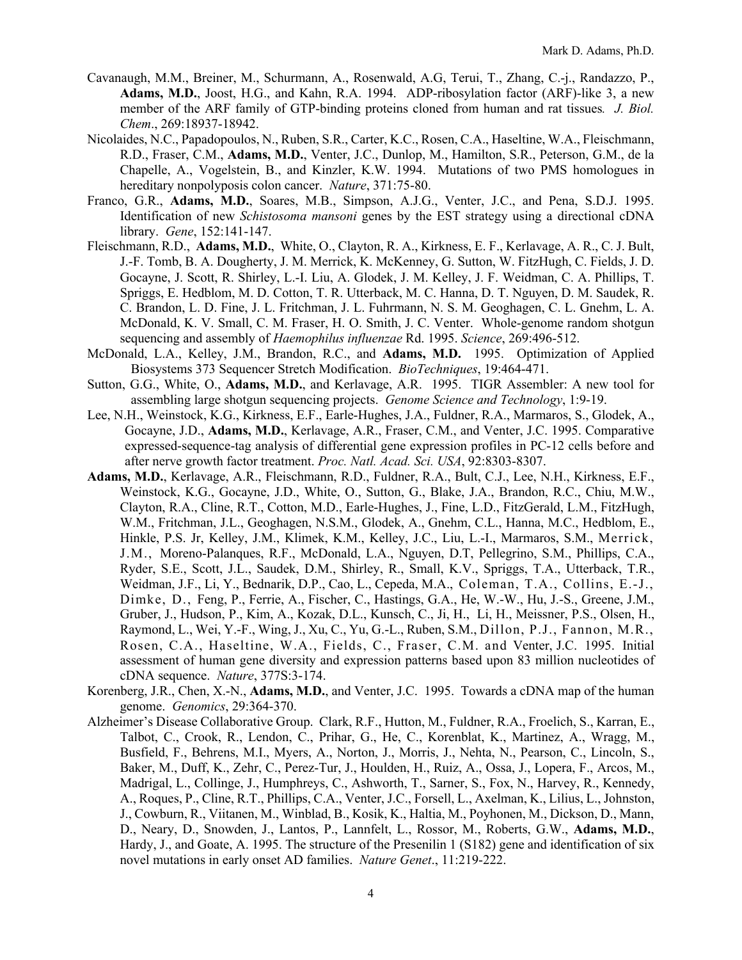- Cavanaugh, M.M., Breiner, M., Schurmann, A., Rosenwald, A.G, Terui, T., Zhang, C.-j., Randazzo, P., **Adams, M.D.**, Joost, H.G., and Kahn, R.A. 1994. ADP-ribosylation factor (ARF)-like 3, a new member of the ARF family of GTP-binding proteins cloned from human and rat tissues*. J. Biol. Chem*., 269:18937-18942.
- Nicolaides, N.C., Papadopoulos, N., Ruben, S.R., Carter, K.C., Rosen, C.A., Haseltine, W.A., Fleischmann, R.D., Fraser, C.M., **Adams, M.D.**, Venter, J.C., Dunlop, M., Hamilton, S.R., Peterson, G.M., de la Chapelle, A., Vogelstein, B., and Kinzler, K.W. 1994. Mutations of two PMS homologues in hereditary nonpolyposis colon cancer. *Nature*, 371:75-80.
- Franco, G.R., **Adams, M.D.**, Soares, M.B., Simpson, A.J.G., Venter, J.C., and Pena, S.D.J. 1995. Identification of new *Schistosoma mansoni* genes by the EST strategy using a directional cDNA library. *Gene*, 152:141-147.
- Fleischmann, R.D., **Adams, M.D.**, White, O., Clayton, R. A., Kirkness, E. F., Kerlavage, A. R., C. J. Bult, J.-F. Tomb, B. A. Dougherty, J. M. Merrick, K. McKenney, G. Sutton, W. FitzHugh, C. Fields, J. D. Gocayne, J. Scott, R. Shirley, L.-I. Liu, A. Glodek, J. M. Kelley, J. F. Weidman, C. A. Phillips, T. Spriggs, E. Hedblom, M. D. Cotton, T. R. Utterback, M. C. Hanna, D. T. Nguyen, D. M. Saudek, R. C. Brandon, L. D. Fine, J. L. Fritchman, J. L. Fuhrmann, N. S. M. Geoghagen, C. L. Gnehm, L. A. McDonald, K. V. Small, C. M. Fraser, H. O. Smith, J. C. Venter. Whole-genome random shotgun sequencing and assembly of *Haemophilus influenzae* Rd. 1995. *Science*, 269:496-512.
- McDonald, L.A., Kelley, J.M., Brandon, R.C., and **Adams, M.D.** 1995. Optimization of Applied Biosystems 373 Sequencer Stretch Modification. *BioTechniques*, 19:464-471.
- Sutton, G.G., White, O., **Adams, M.D.**, and Kerlavage, A.R. 1995. TIGR Assembler: A new tool for assembling large shotgun sequencing projects. *Genome Science and Technology*, 1:9-19.
- Lee, N.H., Weinstock, K.G., Kirkness, E.F., Earle-Hughes, J.A., Fuldner, R.A., Marmaros, S., Glodek, A., Gocayne, J.D., **Adams, M.D.**, Kerlavage, A.R., Fraser, C.M., and Venter, J.C. 1995. Comparative expressed-sequence-tag analysis of differential gene expression profiles in PC-12 cells before and after nerve growth factor treatment. *Proc. Natl. Acad. Sci. USA*, 92:8303-8307.
- **Adams, M.D.**, Kerlavage, A.R., Fleischmann, R.D., Fuldner, R.A., Bult, C.J., Lee, N.H., Kirkness, E.F., Weinstock, K.G., Gocayne, J.D., White, O., Sutton, G., Blake, J.A., Brandon, R.C., Chiu, M.W., Clayton, R.A., Cline, R.T., Cotton, M.D., Earle-Hughes, J., Fine, L.D., FitzGerald, L.M., FitzHugh, W.M., Fritchman, J.L., Geoghagen, N.S.M., Glodek, A., Gnehm, C.L., Hanna, M.C., Hedblom, E., Hinkle, P.S. Jr, Kelley, J.M., Klimek, K.M., Kelley, J.C., Liu, L.-I., Marmaros, S.M., Merrick, J.M., Moreno-Palanques, R.F., McDonald, L.A., Nguyen, D.T, Pellegrino, S.M., Phillips, C.A., Ryder, S.E., Scott, J.L., Saudek, D.M., Shirley, R., Small, K.V., Spriggs, T.A., Utterback, T.R., Weidman, J.F., Li, Y., Bednarik, D.P., Cao, L., Cepeda, M.A., Coleman, T.A., Collins, E.-J., Dimke, D., Feng, P., Ferrie, A., Fischer, C., Hastings, G.A., He, W.-W., Hu, J.-S., Greene, J.M., Gruber, J., Hudson, P., Kim, A., Kozak, D.L., Kunsch, C., Ji, H., Li, H., Meissner, P.S., Olsen, H., Raymond, L., Wei, Y.-F., Wing, J., Xu, C., Yu, G.-L., Ruben, S.M., Dillon, P.J., Fannon, M.R., Rosen, C.A., Haseltine, W.A., Fields, C., Fraser, C.M. and Venter, J.C. 1995. Initial assessment of human gene diversity and expression patterns based upon 83 million nucleotides of cDNA sequence. *Nature*, 377S:3-174.
- Korenberg, J.R., Chen, X.-N., **Adams, M.D.**, and Venter, J.C. 1995. Towards a cDNA map of the human genome. *Genomics*, 29:364-370.
- Alzheimer's Disease Collaborative Group. Clark, R.F., Hutton, M., Fuldner, R.A., Froelich, S., Karran, E., Talbot, C., Crook, R., Lendon, C., Prihar, G., He, C., Korenblat, K., Martinez, A., Wragg, M., Busfield, F., Behrens, M.I., Myers, A., Norton, J., Morris, J., Nehta, N., Pearson, C., Lincoln, S., Baker, M., Duff, K., Zehr, C., Perez-Tur, J., Houlden, H., Ruiz, A., Ossa, J., Lopera, F., Arcos, M., Madrigal, L., Collinge, J., Humphreys, C., Ashworth, T., Sarner, S., Fox, N., Harvey, R., Kennedy, A., Roques, P., Cline, R.T., Phillips, C.A., Venter, J.C., Forsell, L., Axelman, K., Lilius, L., Johnston, J., Cowburn, R., Viitanen, M., Winblad, B., Kosik, K., Haltia, M., Poyhonen, M., Dickson, D., Mann, D., Neary, D., Snowden, J., Lantos, P., Lannfelt, L., Rossor, M., Roberts, G.W., **Adams, M.D.**, Hardy, J., and Goate, A. 1995. The structure of the Presenilin 1 (S182) gene and identification of six novel mutations in early onset AD families. *Nature Genet*., 11:219-222.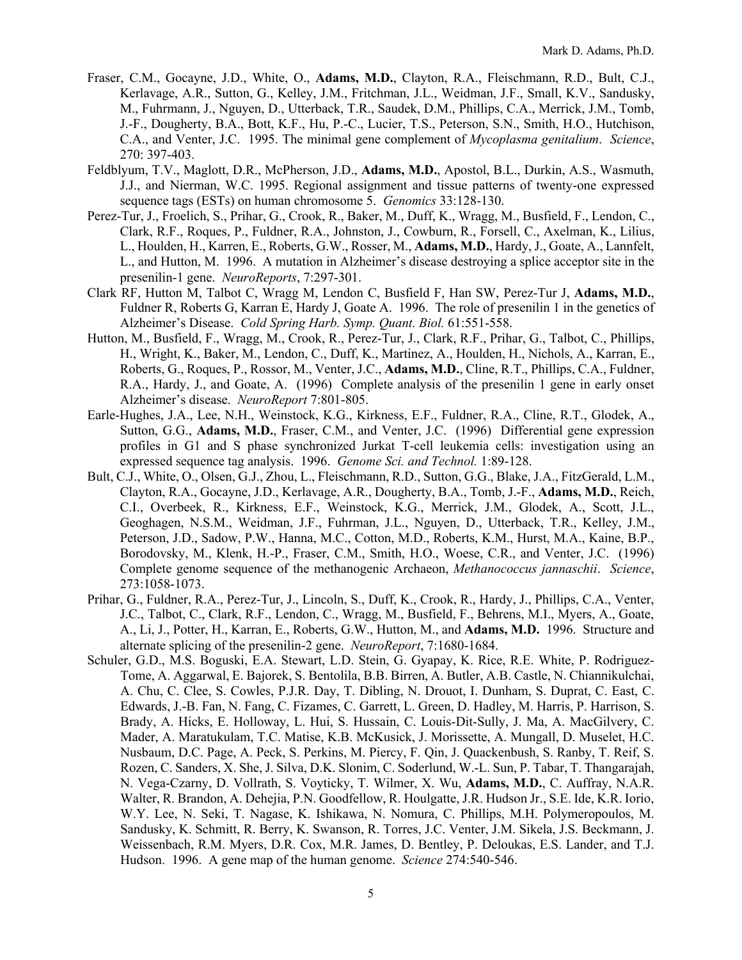- Fraser, C.M., Gocayne, J.D., White, O., **Adams, M.D.**, Clayton, R.A., Fleischmann, R.D., Bult, C.J., Kerlavage, A.R., Sutton, G., Kelley, J.M., Fritchman, J.L., Weidman, J.F., Small, K.V., Sandusky, M., Fuhrmann, J., Nguyen, D., Utterback, T.R., Saudek, D.M., Phillips, C.A., Merrick, J.M., Tomb, J.-F., Dougherty, B.A., Bott, K.F., Hu, P.-C., Lucier, T.S., Peterson, S.N., Smith, H.O., Hutchison, C.A., and Venter, J.C. 1995. The minimal gene complement of *Mycoplasma genitalium*. *Science*, 270: 397-403.
- Feldblyum, T.V., Maglott, D.R., McPherson, J.D., **Adams, M.D.**, Apostol, B.L., Durkin, A.S., Wasmuth, J.J., and Nierman, W.C. 1995. Regional assignment and tissue patterns of twenty-one expressed sequence tags (ESTs) on human chromosome 5. *Genomics* 33:128-130.
- Perez-Tur, J., Froelich, S., Prihar, G., Crook, R., Baker, M., Duff, K., Wragg, M., Busfield, F., Lendon, C., Clark, R.F., Roques, P., Fuldner, R.A., Johnston, J., Cowburn, R., Forsell, C., Axelman, K., Lilius, L., Houlden, H., Karren, E., Roberts, G.W., Rosser, M., **Adams, M.D.**, Hardy, J., Goate, A., Lannfelt, L., and Hutton, M. 1996. A mutation in Alzheimer's disease destroying a splice acceptor site in the presenilin-1 gene. *NeuroReports*, 7:297-301.
- Clark RF, Hutton M, Talbot C, Wragg M, Lendon C, Busfield F, Han SW, Perez-Tur J, **Adams, M.D.**, Fuldner R, Roberts G, Karran E, Hardy J, Goate A. 1996. The role of presenilin 1 in the genetics of Alzheimer's Disease. *Cold Spring Harb. Symp. Quant. Biol.* 61:551-558.
- Hutton, M., Busfield, F., Wragg, M., Crook, R., Perez-Tur, J., Clark, R.F., Prihar, G., Talbot, C., Phillips, H., Wright, K., Baker, M., Lendon, C., Duff, K., Martinez, A., Houlden, H., Nichols, A., Karran, E., Roberts, G., Roques, P., Rossor, M., Venter, J.C., **Adams, M.D.**, Cline, R.T., Phillips, C.A., Fuldner, R.A., Hardy, J., and Goate, A. (1996) Complete analysis of the presenilin 1 gene in early onset Alzheimer's disease. *NeuroReport* 7:801-805.
- Earle-Hughes, J.A., Lee, N.H., Weinstock, K.G., Kirkness, E.F., Fuldner, R.A., Cline, R.T., Glodek, A., Sutton, G.G., **Adams, M.D.**, Fraser, C.M., and Venter, J.C. (1996) Differential gene expression profiles in G1 and S phase synchronized Jurkat T-cell leukemia cells: investigation using an expressed sequence tag analysis. 1996. *Genome Sci. and Technol.* 1:89-128.
- Bult, C.J., White, O., Olsen, G.J., Zhou, L., Fleischmann, R.D., Sutton, G.G., Blake, J.A., FitzGerald, L.M., Clayton, R.A., Gocayne, J.D., Kerlavage, A.R., Dougherty, B.A., Tomb, J.-F., **Adams, M.D.**, Reich, C.I., Overbeek, R., Kirkness, E.F., Weinstock, K.G., Merrick, J.M., Glodek, A., Scott, J.L., Geoghagen, N.S.M., Weidman, J.F., Fuhrman, J.L., Nguyen, D., Utterback, T.R., Kelley, J.M., Peterson, J.D., Sadow, P.W., Hanna, M.C., Cotton, M.D., Roberts, K.M., Hurst, M.A., Kaine, B.P., Borodovsky, M., Klenk, H.-P., Fraser, C.M., Smith, H.O., Woese, C.R., and Venter, J.C. (1996) Complete genome sequence of the methanogenic Archaeon, *Methanococcus jannaschii*. *Science*, 273:1058-1073.
- Prihar, G., Fuldner, R.A., Perez-Tur, J., Lincoln, S., Duff, K., Crook, R., Hardy, J., Phillips, C.A., Venter, J.C., Talbot, C., Clark, R.F., Lendon, C., Wragg, M., Busfield, F., Behrens, M.I., Myers, A., Goate, A., Li, J., Potter, H., Karran, E., Roberts, G.W., Hutton, M., and **Adams, M.D.** 1996. Structure and alternate splicing of the presenilin-2 gene. *NeuroReport*, 7:1680-1684.
- Schuler, G.D., M.S. Boguski, E.A. Stewart, L.D. Stein, G. Gyapay, K. Rice, R.E. White, P. Rodriguez-Tome, A. Aggarwal, E. Bajorek, S. Bentolila, B.B. Birren, A. Butler, A.B. Castle, N. Chiannikulchai, A. Chu, C. Clee, S. Cowles, P.J.R. Day, T. Dibling, N. Drouot, I. Dunham, S. Duprat, C. East, C. Edwards, J.-B. Fan, N. Fang, C. Fizames, C. Garrett, L. Green, D. Hadley, M. Harris, P. Harrison, S. Brady, A. Hicks, E. Holloway, L. Hui, S. Hussain, C. Louis-Dit-Sully, J. Ma, A. MacGilvery, C. Mader, A. Maratukulam, T.C. Matise, K.B. McKusick, J. Morissette, A. Mungall, D. Muselet, H.C. Nusbaum, D.C. Page, A. Peck, S. Perkins, M. Piercy, F. Qin, J. Quackenbush, S. Ranby, T. Reif, S. Rozen, C. Sanders, X. She, J. Silva, D.K. Slonim, C. Soderlund, W.-L. Sun, P. Tabar, T. Thangarajah, N. Vega-Czarny, D. Vollrath, S. Voyticky, T. Wilmer, X. Wu, **Adams, M.D.**, C. Auffray, N.A.R. Walter, R. Brandon, A. Dehejia, P.N. Goodfellow, R. Houlgatte, J.R. Hudson Jr., S.E. Ide, K.R. Iorio, W.Y. Lee, N. Seki, T. Nagase, K. Ishikawa, N. Nomura, C. Phillips, M.H. Polymeropoulos, M. Sandusky, K. Schmitt, R. Berry, K. Swanson, R. Torres, J.C. Venter, J.M. Sikela, J.S. Beckmann, J. Weissenbach, R.M. Myers, D.R. Cox, M.R. James, D. Bentley, P. Deloukas, E.S. Lander, and T.J. Hudson. 1996. A gene map of the human genome. *Science* 274:540-546.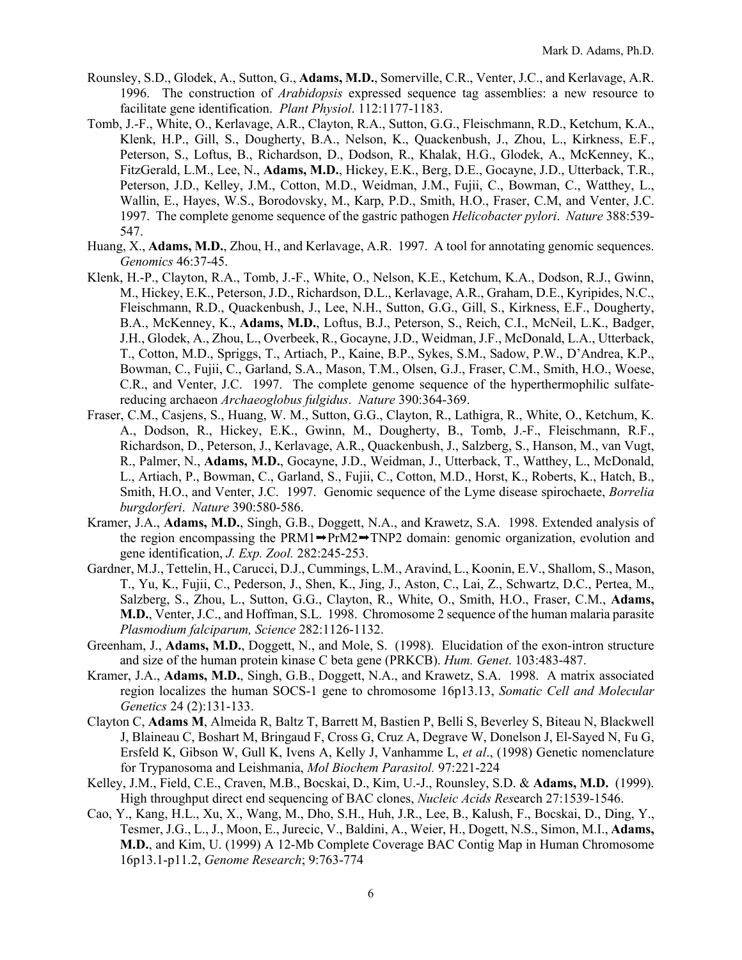- Rounsley, S.D., Glodek, A., Sutton, G., **Adams, M.D.**, Somerville, C.R., Venter, J.C., and Kerlavage, A.R. 1996. The construction of *Arabidopsis* expressed sequence tag assemblies: a new resource to facilitate gene identification. *Plant Physiol*. 112:1177-1183.
- Tomb, J.-F., White, O., Kerlavage, A.R., Clayton, R.A., Sutton, G.G., Fleischmann, R.D., Ketchum, K.A., Klenk, H.P., Gill, S., Dougherty, B.A., Nelson, K., Quackenbush, J., Zhou, L., Kirkness, E.F., Peterson, S., Loftus, B., Richardson, D., Dodson, R., Khalak, H.G., Glodek, A., McKenney, K., FitzGerald, L.M., Lee, N., **Adams, M.D.**, Hickey, E.K., Berg, D.E., Gocayne, J.D., Utterback, T.R., Peterson, J.D., Kelley, J.M., Cotton, M.D., Weidman, J.M., Fujii, C., Bowman, C., Watthey, L., Wallin, E., Hayes, W.S., Borodovsky, M., Karp, P.D., Smith, H.O., Fraser, C.M, and Venter, J.C. 1997. The complete genome sequence of the gastric pathogen *Helicobacter pylori*. *Nature* 388:539- 547.
- Huang, X., **Adams, M.D.**, Zhou, H., and Kerlavage, A.R. 1997. A tool for annotating genomic sequences. *Genomics* 46:37-45.
- Klenk, H.-P., Clayton, R.A., Tomb, J.-F., White, O., Nelson, K.E., Ketchum, K.A., Dodson, R.J., Gwinn, M., Hickey, E.K., Peterson, J.D., Richardson, D.L., Kerlavage, A.R., Graham, D.E., Kyripides, N.C., Fleischmann, R.D., Quackenbush, J., Lee, N.H., Sutton, G.G., Gill, S., Kirkness, E.F., Dougherty, B.A., McKenney, K., **Adams, M.D.**, Loftus, B.J., Peterson, S., Reich, C.I., McNeil, L.K., Badger, J.H., Glodek, A., Zhou, L., Overbeek, R., Gocayne, J.D., Weidman, J.F., McDonald, L.A., Utterback, T., Cotton, M.D., Spriggs, T., Artiach, P., Kaine, B.P., Sykes, S.M., Sadow, P.W., D'Andrea, K.P., Bowman, C., Fujii, C., Garland, S.A., Mason, T.M., Olsen, G.J., Fraser, C.M., Smith, H.O., Woese, C.R., and Venter, J.C. 1997. The complete genome sequence of the hyperthermophilic sulfatereducing archaeon *Archaeoglobus fulgidus*. *Nature* 390:364-369.
- Fraser, C.M., Casjens, S., Huang, W. M., Sutton, G.G., Clayton, R., Lathigra, R., White, O., Ketchum, K. A., Dodson, R., Hickey, E.K., Gwinn, M., Dougherty, B., Tomb, J.-F., Fleischmann, R.F., Richardson, D., Peterson, J., Kerlavage, A.R., Quackenbush, J., Salzberg, S., Hanson, M., van Vugt, R., Palmer, N., **Adams, M.D.**, Gocayne, J.D., Weidman, J., Utterback, T., Watthey, L., McDonald, L., Artiach, P., Bowman, C., Garland, S., Fujii, C., Cotton, M.D., Horst, K., Roberts, K., Hatch, B., Smith, H.O., and Venter, J.C. 1997. Genomic sequence of the Lyme disease spirochaete, *Borrelia burgdorferi*. *Nature* 390:580-586.
- Kramer, J.A., **Adams, M.D.**, Singh, G.B., Doggett, N.A., and Krawetz, S.A. 1998. Extended analysis of the region encompassing the PRM1 $\rightarrow$ PrM2 $\rightarrow$ TNP2 domain: genomic organization, evolution and gene identification, *J. Exp. Zool.* 282:245-253.
- Gardner, M.J., Tettelin, H., Carucci, D.J., Cummings, L.M., Aravind, L., Koonin, E.V., Shallom, S., Mason, T., Yu, K., Fujii, C., Pederson, J., Shen, K., Jing, J., Aston, C., Lai, Z., Schwartz, D.C., Pertea, M., Salzberg, S., Zhou, L., Sutton, G.G., Clayton, R., White, O., Smith, H.O., Fraser, C.M., **Adams, M.D.**, Venter, J.C., and Hoffman, S.L. 1998. Chromosome 2 sequence of the human malaria parasite *Plasmodium falciparum, Science* 282:1126-1132.
- Greenham, J., **Adams, M.D.**, Doggett, N., and Mole, S. (1998). Elucidation of the exon-intron structure and size of the human protein kinase C beta gene (PRKCB). *Hum. Genet*. 103:483-487.
- Kramer, J.A., **Adams, M.D.**, Singh, G.B., Doggett, N.A., and Krawetz, S.A. 1998. A matrix associated region localizes the human SOCS-1 gene to chromosome 16p13.13, *Somatic Cell and Molecular Genetics* 24 (2):131-133.
- Clayton C, **Adams M**, Almeida R, Baltz T, Barrett M, Bastien P, Belli S, Beverley S, Biteau N, Blackwell J, Blaineau C, Boshart M, Bringaud F, Cross G, Cruz A, Degrave W, Donelson J, El-Sayed N, Fu G, Ersfeld K, Gibson W, Gull K, Ivens A, Kelly J, Vanhamme L, *et al*., (1998) Genetic nomenclature for Trypanosoma and Leishmania, *Mol Biochem Parasitol.* 97:221-224
- Kelley, J.M., Field, C.E., Craven, M.B., Bocskai, D., Kim, U.-J., Rounsley, S.D. & **Adams, M.D.** (1999). High throughput direct end sequencing of BAC clones, *Nucleic Acids Res*earch 27:1539-1546.
- Cao, Y., Kang, H.L., Xu, X., Wang, M., Dho, S.H., Huh, J.R., Lee, B., Kalush, F., Bocskai, D., Ding, Y., Tesmer, J.G., L., J., Moon, E., Jurecic, V., Baldini, A., Weier, H., Dogett, N.S., Simon, M.I., **Adams, M.D.**, and Kim, U. (1999) A 12-Mb Complete Coverage BAC Contig Map in Human Chromosome 16p13.1-p11.2, *Genome Research*; 9:763-774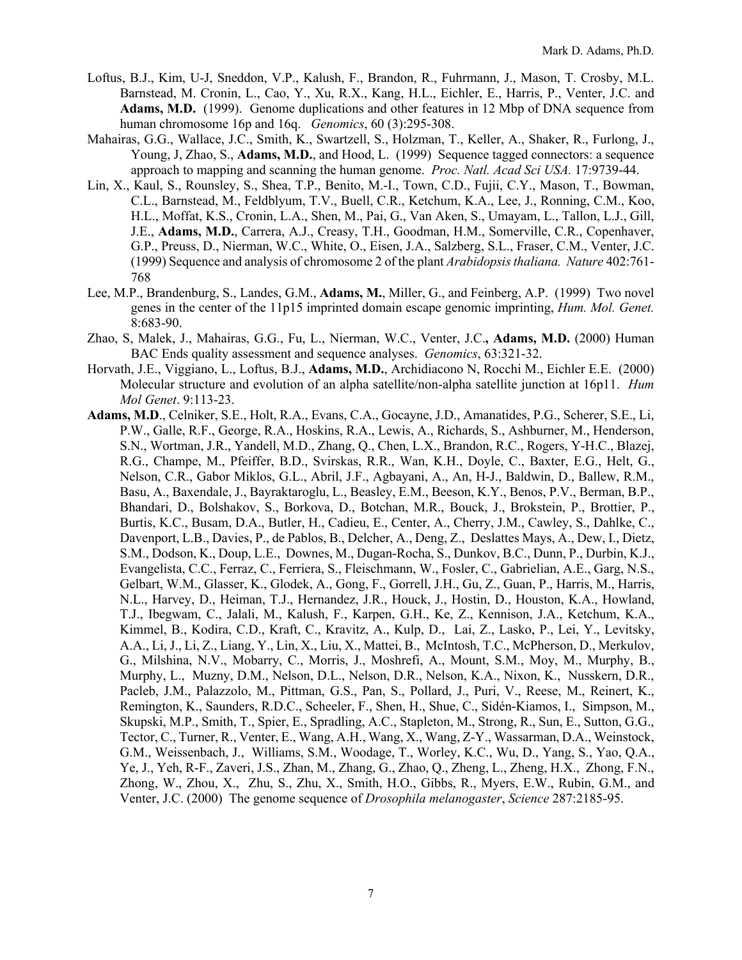- Loftus, B.J., Kim, U-J, Sneddon, V.P., Kalush, F., Brandon, R., Fuhrmann, J., Mason, T. Crosby, M.L. Barnstead, M. Cronin, L., Cao, Y., Xu, R.X., Kang, H.L., Eichler, E., Harris, P., Venter, J.C. and **Adams, M.D.** (1999). Genome duplications and other features in 12 Mbp of DNA sequence from human chromosome 16p and 16q. *Genomics*, 60 (3):295-308.
- Mahairas, G.G., Wallace, J.C., Smith, K., Swartzell, S., Holzman, T., Keller, A., Shaker, R., Furlong, J., Young, J, Zhao, S., **Adams, M.D.**, and Hood, L. (1999) Sequence tagged connectors: a sequence approach to mapping and scanning the human genome. *Proc. Natl. Acad Sci USA.* 17:9739-44.
- Lin, X., Kaul, S., Rounsley, S., Shea, T.P., Benito, M.-I., Town, C.D., Fujii, C.Y., Mason, T., Bowman, C.L., Barnstead, M., Feldblyum, T.V., Buell, C.R., Ketchum, K.A., Lee, J., Ronning, C.M., Koo, H.L., Moffat, K.S., Cronin, L.A., Shen, M., Pai, G., Van Aken, S., Umayam, L., Tallon, L.J., Gill, J.E., **Adams, M.D.**, Carrera, A.J., Creasy, T.H., Goodman, H.M., Somerville, C.R., Copenhaver, G.P., Preuss, D., Nierman, W.C., White, O., Eisen, J.A., Salzberg, S.L., Fraser, C.M., Venter, J.C. (1999) Sequence and analysis of chromosome 2 of the plant *Arabidopsis thaliana. Nature* 402:761- 768
- Lee, M.P., Brandenburg, S., Landes, G.M., **Adams, M.**, Miller, G., and Feinberg, A.P. (1999) Two novel genes in the center of the 11p15 imprinted domain escape genomic imprinting, *Hum. Mol. Genet.* 8:683-90.
- Zhao, S, Malek, J., Mahairas, G.G., Fu, L., Nierman, W.C., Venter, J.C.**, Adams, M.D.** (2000) Human BAC Ends quality assessment and sequence analyses. *Genomics*, 63:321-32.
- Horvath, J.E., Viggiano, L., Loftus, B.J., **Adams, M.D.**, Archidiacono N, Rocchi M., Eichler E.E. (2000) Molecular structure and evolution of an alpha satellite/non-alpha satellite junction at 16p11. *Hum Mol Genet*. 9:113-23.
- **Adams, M.D**., Celniker, S.E., Holt, R.A., Evans, C.A., Gocayne, J.D., Amanatides, P.G., Scherer, S.E., Li, P.W., Galle, R.F., George, R.A., Hoskins, R.A., Lewis, A., Richards, S., Ashburner, M., Henderson, S.N., Wortman, J.R., Yandell, M.D., Zhang, Q., Chen, L.X., Brandon, R.C., Rogers, Y-H.C., Blazej, R.G., Champe, M., Pfeiffer, B.D., Svirskas, R.R., Wan, K.H., Doyle, C., Baxter, E.G., Helt, G., Nelson, C.R., Gabor Miklos, G.L., Abril, J.F., Agbayani, A., An, H-J., Baldwin, D., Ballew, R.M., Basu, A., Baxendale, J., Bayraktaroglu, L., Beasley, E.M., Beeson, K.Y., Benos, P.V., Berman, B.P., Bhandari, D., Bolshakov, S., Borkova, D., Botchan, M.R., Bouck, J., Brokstein, P., Brottier, P., Burtis, K.C., Busam, D.A., Butler, H., Cadieu, E., Center, A., Cherry, J.M., Cawley, S., Dahlke, C., Davenport, L.B., Davies, P., de Pablos, B., Delcher, A., Deng, Z., Deslattes Mays, A., Dew, I., Dietz, S.M., Dodson, K., Doup, L.E., Downes, M., Dugan-Rocha, S., Dunkov, B.C., Dunn, P., Durbin, K.J., Evangelista, C.C., Ferraz, C., Ferriera, S., Fleischmann, W., Fosler, C., Gabrielian, A.E., Garg, N.S., Gelbart, W.M., Glasser, K., Glodek, A., Gong, F., Gorrell, J.H., Gu, Z., Guan, P., Harris, M., Harris, N.L., Harvey, D., Heiman, T.J., Hernandez, J.R., Houck, J., Hostin, D., Houston, K.A., Howland, T.J., Ibegwam, C., Jalali, M., Kalush, F., Karpen, G.H., Ke, Z., Kennison, J.A., Ketchum, K.A., Kimmel, B., Kodira, C.D., Kraft, C., Kravitz, A., Kulp, D., Lai, Z., Lasko, P., Lei, Y., Levitsky, A.A., Li, J., Li, Z., Liang, Y., Lin, X., Liu, X., Mattei, B., McIntosh, T.C., McPherson, D., Merkulov, G., Milshina, N.V., Mobarry, C., Morris, J., Moshrefi, A., Mount, S.M., Moy, M., Murphy, B., Murphy, L., Muzny, D.M., Nelson, D.L., Nelson, D.R., Nelson, K.A., Nixon, K., Nusskern, D.R., Pacleb, J.M., Palazzolo, M., Pittman, G.S., Pan, S., Pollard, J., Puri, V., Reese, M., Reinert, K., Remington, K., Saunders, R.D.C., Scheeler, F., Shen, H., Shue, C., Sidén-Kiamos, I., Simpson, M., Skupski, M.P., Smith, T., Spier, E., Spradling, A.C., Stapleton, M., Strong, R., Sun, E., Sutton, G.G., Tector, C., Turner, R., Venter, E., Wang, A.H., Wang, X., Wang, Z-Y., Wassarman, D.A., Weinstock, G.M., Weissenbach, J., Williams, S.M., Woodage, T., Worley, K.C., Wu, D., Yang, S., Yao, Q.A., Ye, J., Yeh, R-F., Zaveri, J.S., Zhan, M., Zhang, G., Zhao, Q., Zheng, L., Zheng, H.X., Zhong, F.N., Zhong, W., Zhou, X., Zhu, S., Zhu, X., Smith, H.O., Gibbs, R., Myers, E.W., Rubin, G.M., and Venter, J.C. (2000) The genome sequence of *Drosophila melanogaster*, *Science* 287:2185-95.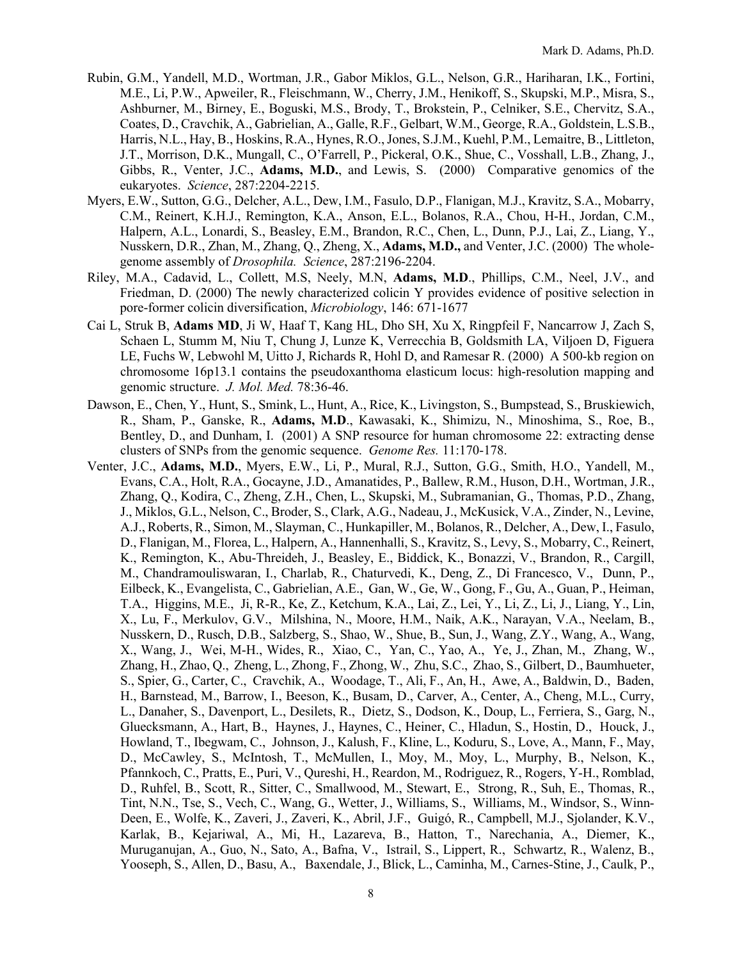- Rubin, G.M., Yandell, M.D., Wortman, J.R., Gabor Miklos, G.L., Nelson, G.R., Hariharan, I.K., Fortini, M.E., Li, P.W., Apweiler, R., Fleischmann, W., Cherry, J.M., Henikoff, S., Skupski, M.P., Misra, S., Ashburner, M., Birney, E., Boguski, M.S., Brody, T., Brokstein, P., Celniker, S.E., Chervitz, S.A., Coates, D., Cravchik, A., Gabrielian, A., Galle, R.F., Gelbart, W.M., George, R.A., Goldstein, L.S.B., Harris, N.L., Hay, B., Hoskins, R.A., Hynes, R.O., Jones, S.J.M., Kuehl, P.M., Lemaitre, B., Littleton, J.T., Morrison, D.K., Mungall, C., O'Farrell, P., Pickeral, O.K., Shue, C., Vosshall, L.B., Zhang, J., Gibbs, R., Venter, J.C., **Adams, M.D.**, and Lewis, S. (2000) Comparative genomics of the eukaryotes. *Science*, 287:2204-2215.
- Myers, E.W., Sutton, G.G., Delcher, A.L., Dew, I.M., Fasulo, D.P., Flanigan, M.J., Kravitz, S.A., Mobarry, C.M., Reinert, K.H.J., Remington, K.A., Anson, E.L., Bolanos, R.A., Chou, H-H., Jordan, C.M., Halpern, A.L., Lonardi, S., Beasley, E.M., Brandon, R.C., Chen, L., Dunn, P.J., Lai, Z., Liang, Y., Nusskern, D.R., Zhan, M., Zhang, Q., Zheng, X., **Adams, M.D.,** and Venter, J.C. (2000) The wholegenome assembly of *Drosophila. Science*, 287:2196-2204.
- Riley, M.A., Cadavid, L., Collett, M.S, Neely, M.N, **Adams, M.D**., Phillips, C.M., Neel, J.V., and Friedman, D. (2000) The newly characterized colicin Y provides evidence of positive selection in pore-former colicin diversification, *Microbiology*, 146: 671-1677
- Cai L, Struk B, **Adams MD**, Ji W, Haaf T, Kang HL, Dho SH, Xu X, Ringpfeil F, Nancarrow J, Zach S, Schaen L, Stumm M, Niu T, Chung J, Lunze K, Verrecchia B, Goldsmith LA, Viljoen D, Figuera LE, Fuchs W, Lebwohl M, Uitto J, Richards R, Hohl D, and Ramesar R. (2000) A 500-kb region on chromosome 16p13.1 contains the pseudoxanthoma elasticum locus: high-resolution mapping and genomic structure. *J. Mol. Med.* 78:36-46.
- Dawson, E., Chen, Y., Hunt, S., Smink, L., Hunt, A., Rice, K., Livingston, S., Bumpstead, S., Bruskiewich, R., Sham, P., Ganske, R., **Adams, M.D**., Kawasaki, K., Shimizu, N., Minoshima, S., Roe, B., Bentley, D., and Dunham, I. (2001) A SNP resource for human chromosome 22: extracting dense clusters of SNPs from the genomic sequence. *Genome Res.* 11:170-178.
- Venter, J.C., **Adams, M.D.**, Myers, E.W., Li, P., Mural, R.J., Sutton, G.G., Smith, H.O., Yandell, M., Evans, C.A., Holt, R.A., Gocayne, J.D., Amanatides, P., Ballew, R.M., Huson, D.H., Wortman, J.R., Zhang, Q., Kodira, C., Zheng, Z.H., Chen, L., Skupski, M., Subramanian, G., Thomas, P.D., Zhang, J., Miklos, G.L., Nelson, C., Broder, S., Clark, A.G., Nadeau, J., McKusick, V.A., Zinder, N., Levine, A.J., Roberts, R., Simon, M., Slayman, C., Hunkapiller, M., Bolanos, R., Delcher, A., Dew, I., Fasulo, D., Flanigan, M., Florea, L., Halpern, A., Hannenhalli, S., Kravitz, S., Levy, S., Mobarry, C., Reinert, K., Remington, K., Abu-Threideh, J., Beasley, E., Biddick, K., Bonazzi, V., Brandon, R., Cargill, M., Chandramouliswaran, I., Charlab, R., Chaturvedi, K., Deng, Z., Di Francesco, V., Dunn, P., Eilbeck, K., Evangelista, C., Gabrielian, A.E., Gan, W., Ge, W., Gong, F., Gu, A., Guan, P., Heiman, T.A., Higgins, M.E., Ji, R-R., Ke, Z., Ketchum, K.A., Lai, Z., Lei, Y., Li, Z., Li, J., Liang, Y., Lin, X., Lu, F., Merkulov, G.V., Milshina, N., Moore, H.M., Naik, A.K., Narayan, V.A., Neelam, B., Nusskern, D., Rusch, D.B., Salzberg, S., Shao, W., Shue, B., Sun, J., Wang, Z.Y., Wang, A., Wang, X., Wang, J., Wei, M-H., Wides, R., Xiao, C., Yan, C., Yao, A., Ye, J., Zhan, M., Zhang, W., Zhang, H., Zhao, Q., Zheng, L., Zhong, F., Zhong, W., Zhu, S.C., Zhao, S., Gilbert, D., Baumhueter, S., Spier, G., Carter, C., Cravchik, A., Woodage, T., Ali, F., An, H., Awe, A., Baldwin, D., Baden, H., Barnstead, M., Barrow, I., Beeson, K., Busam, D., Carver, A., Center, A., Cheng, M.L., Curry, L., Danaher, S., Davenport, L., Desilets, R., Dietz, S., Dodson, K., Doup, L., Ferriera, S., Garg, N., Gluecksmann, A., Hart, B., Haynes, J., Haynes, C., Heiner, C., Hladun, S., Hostin, D., Houck, J., Howland, T., Ibegwam, C., Johnson, J., Kalush, F., Kline, L., Koduru, S., Love, A., Mann, F., May, D., McCawley, S., McIntosh, T., McMullen, I., Moy, M., Moy, L., Murphy, B., Nelson, K., Pfannkoch, C., Pratts, E., Puri, V., Qureshi, H., Reardon, M., Rodriguez, R., Rogers, Y-H., Romblad, D., Ruhfel, B., Scott, R., Sitter, C., Smallwood, M., Stewart, E., Strong, R., Suh, E., Thomas, R., Tint, N.N., Tse, S., Vech, C., Wang, G., Wetter, J., Williams, S., Williams, M., Windsor, S., Winn-Deen, E., Wolfe, K., Zaveri, J., Zaveri, K., Abril, J.F., Guigó, R., Campbell, M.J., Sjolander, K.V., Karlak, B., Kejariwal, A., Mi, H., Lazareva, B., Hatton, T., Narechania, A., Diemer, K., Muruganujan, A., Guo, N., Sato, A., Bafna, V., Istrail, S., Lippert, R., Schwartz, R., Walenz, B., Yooseph, S., Allen, D., Basu, A., Baxendale, J., Blick, L., Caminha, M., Carnes-Stine, J., Caulk, P.,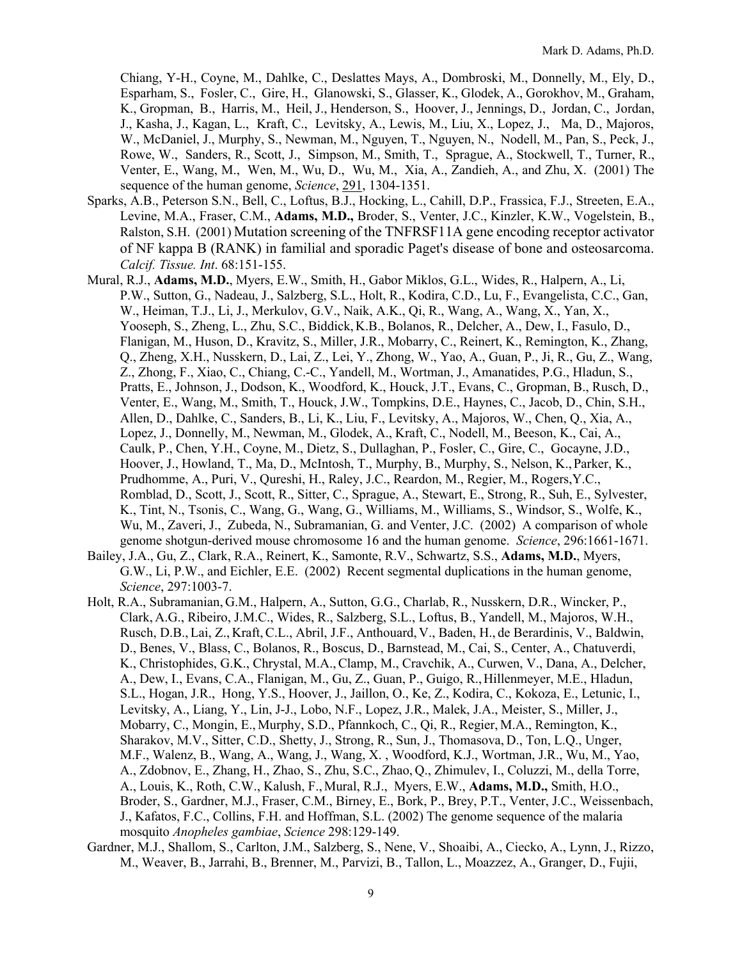Chiang, Y-H., Coyne, M., Dahlke, C., Deslattes Mays, A., Dombroski, M., Donnelly, M., Ely, D., Esparham, S., Fosler, C., Gire, H., Glanowski, S., Glasser, K., Glodek, A., Gorokhov, M., Graham, K., Gropman, B., Harris, M., Heil, J., Henderson, S., Hoover, J., Jennings, D., Jordan, C., Jordan, J., Kasha, J., Kagan, L., Kraft, C., Levitsky, A., Lewis, M., Liu, X., Lopez, J., Ma, D., Majoros, W., McDaniel, J., Murphy, S., Newman, M., Nguyen, T., Nguyen, N., Nodell, M., Pan, S., Peck, J., Rowe, W., Sanders, R., Scott, J., Simpson, M., Smith, T., Sprague, A., Stockwell, T., Turner, R., Venter, E., Wang, M., Wen, M., Wu, D., Wu, M., Xia, A., Zandieh, A., and Zhu, X. (2001) The sequence of the human genome, *Science*, 291, 1304-1351.

- Sparks, A.B., Peterson S.N., Bell, C., Loftus, B.J., Hocking, L., Cahill, D.P., Frassica, F.J., Streeten, E.A., Levine, M.A., Fraser, C.M., **Adams, M.D.,** Broder, S., Venter, J.C., Kinzler, K.W., Vogelstein, B., Ralston, S.H. (2001) Mutation screening of the TNFRSF11A gene encoding receptor activator of NF kappa B (RANK) in familial and sporadic Paget's disease of bone and osteosarcoma. *Calcif. Tissue. Int*. 68:151-155.
- Mural, R.J., **Adams, M.D.**, Myers, E.W., Smith, H., Gabor Miklos, G.L., Wides, R., Halpern, A., Li, P.W., Sutton, G., Nadeau, J., Salzberg, S.L., Holt, R., Kodira, C.D., Lu, F., Evangelista, C.C., Gan, W., Heiman, T.J., Li, J., Merkulov, G.V., Naik, A.K., Qi, R., Wang, A., Wang, X., Yan, X., Yooseph, S., Zheng, L., Zhu, S.C., Biddick,K.B., Bolanos, R., Delcher, A., Dew, I., Fasulo, D., Flanigan, M., Huson, D., Kravitz, S., Miller, J.R., Mobarry, C., Reinert, K., Remington, K., Zhang, Q., Zheng, X.H., Nusskern, D., Lai, Z., Lei, Y., Zhong, W., Yao, A., Guan, P., Ji, R., Gu, Z., Wang, Z., Zhong, F., Xiao, C., Chiang, C.-C., Yandell, M., Wortman, J., Amanatides, P.G., Hladun, S., Pratts, E., Johnson, J., Dodson, K., Woodford, K., Houck, J.T., Evans, C., Gropman, B., Rusch, D., Venter, E., Wang, M., Smith, T., Houck, J.W., Tompkins, D.E., Haynes, C., Jacob, D., Chin, S.H., Allen, D., Dahlke, C., Sanders, B., Li, K., Liu, F., Levitsky, A., Majoros, W., Chen, Q., Xia, A., Lopez, J., Donnelly, M., Newman, M., Glodek, A., Kraft, C., Nodell, M., Beeson, K., Cai, A., Caulk, P., Chen, Y.H., Coyne, M., Dietz, S., Dullaghan, P., Fosler, C., Gire, C., Gocayne, J.D., Hoover, J., Howland, T., Ma, D., McIntosh, T., Murphy, B., Murphy, S., Nelson, K.,Parker, K., Prudhomme, A., Puri, V., Qureshi, H., Raley, J.C., Reardon, M., Regier, M., Rogers,Y.C., Romblad, D., Scott, J., Scott, R., Sitter, C., Sprague, A., Stewart, E., Strong, R., Suh, E., Sylvester, K., Tint, N., Tsonis, C., Wang, G., Wang, G., Williams, M., Williams, S., Windsor, S., Wolfe, K., Wu, M., Zaveri, J., Zubeda, N., Subramanian, G. and Venter, J.C. (2002) A comparison of whole genome shotgun-derived mouse chromosome 16 and the human genome. *Science*, 296:1661-1671.
- Bailey, J.A., Gu, Z., Clark, R.A., Reinert, K., Samonte, R.V., Schwartz, S.S., **Adams, M.D.**, Myers, G.W., Li, P.W., and Eichler, E.E. (2002) Recent segmental duplications in the human genome, *Science*, 297:1003-7.
- Holt, R.A., Subramanian, G.M., Halpern, A., Sutton, G.G., Charlab, R., Nusskern, D.R., Wincker, P., Clark, A.G., Ribeiro, J.M.C., Wides, R., Salzberg, S.L., Loftus, B., Yandell, M., Majoros, W.H., Rusch, D.B., Lai, Z., Kraft,C.L., Abril, J.F., Anthouard, V., Baden, H., de Berardinis, V., Baldwin, D., Benes, V., Blass, C., Bolanos, R., Boscus, D., Barnstead, M., Cai, S., Center, A., Chatuverdi, K., Christophides, G.K., Chrystal, M.A.,Clamp, M., Cravchik, A., Curwen, V., Dana, A., Delcher, A., Dew, I., Evans, C.A., Flanigan, M., Gu, Z., Guan, P., Guigo, R.,Hillenmeyer, M.E., Hladun, S.L., Hogan, J.R., Hong, Y.S., Hoover, J., Jaillon, O., Ke, Z., Kodira, C., Kokoza, E., Letunic, I., Levitsky, A., Liang, Y., Lin, J-J., Lobo, N.F., Lopez, J.R., Malek, J.A., Meister, S., Miller, J., Mobarry, C., Mongin, E., Murphy, S.D., Pfannkoch, C., Qi, R., Regier, M.A., Remington, K., Sharakov, M.V., Sitter, C.D., Shetty, J., Strong, R., Sun, J., Thomasova, D., Ton, L.Q., Unger, M.F., Walenz, B., Wang, A., Wang, J., Wang, X. , Woodford, K.J., Wortman, J.R., Wu, M., Yao, A., Zdobnov, E., Zhang, H., Zhao, S., Zhu, S.C., Zhao, Q., Zhimulev, I., Coluzzi, M., della Torre, A., Louis, K., Roth, C.W., Kalush, F.,Mural, R.J., Myers, E.W., **Adams, M.D.,** Smith, H.O., Broder, S., Gardner, M.J., Fraser, C.M., Birney, E., Bork, P., Brey, P.T., Venter, J.C., Weissenbach, J., Kafatos, F.C., Collins, F.H. and Hoffman, S.L. (2002) The genome sequence of the malaria mosquito *Anopheles gambiae*, *Science* 298:129-149.
- Gardner, M.J., Shallom, S., Carlton, J.M., Salzberg, S., Nene, V., Shoaibi, A., Ciecko, A., Lynn, J., Rizzo, M., Weaver, B., Jarrahi, B., Brenner, M., Parvizi, B., Tallon, L., Moazzez, A., Granger, D., Fujii,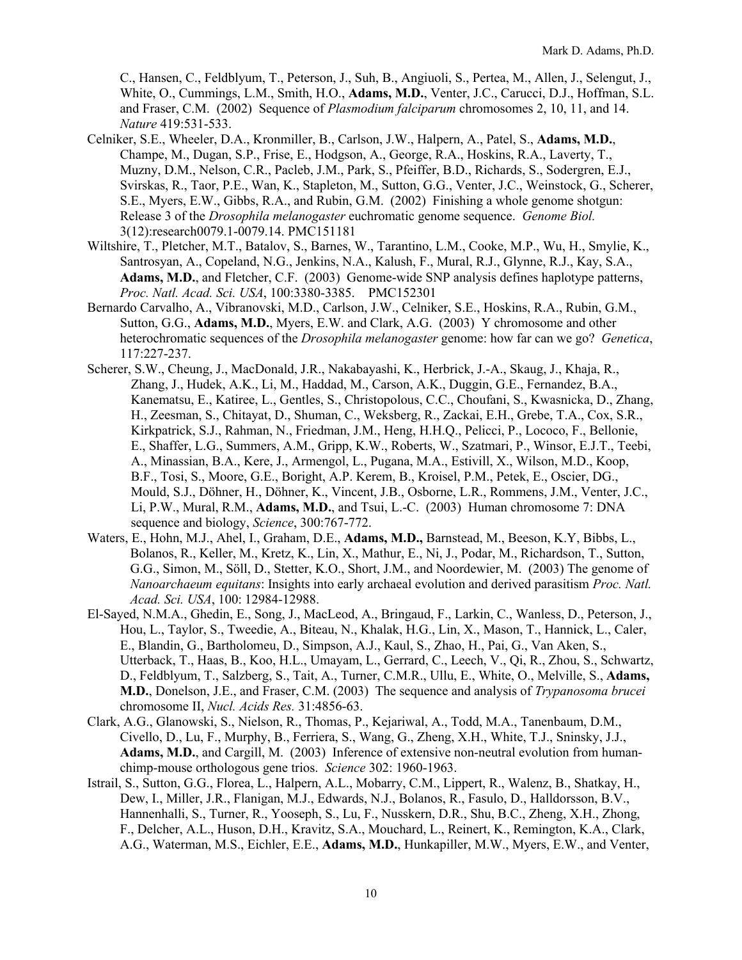C., Hansen, C., Feldblyum, T., Peterson, J., Suh, B., Angiuoli, S., Pertea, M., Allen, J., Selengut, J., White, O., Cummings, L.M., Smith, H.O., **Adams, M.D.**, Venter, J.C., Carucci, D.J., Hoffman, S.L. and Fraser, C.M. (2002) Sequence of *Plasmodium falciparum* chromosomes 2, 10, 11, and 14. *Nature* 419:531-533.

- Celniker, S.E., Wheeler, D.A., Kronmiller, B., Carlson, J.W., Halpern, A., Patel, S., **Adams, M.D.**, Champe, M., Dugan, S.P., Frise, E., Hodgson, A., George, R.A., Hoskins, R.A., Laverty, T., Muzny, D.M., Nelson, C.R., Pacleb, J.M., Park, S., Pfeiffer, B.D., Richards, S., Sodergren, E.J., Svirskas, R., Taor, P.E., Wan, K., Stapleton, M., Sutton, G.G., Venter, J.C., Weinstock, G., Scherer, S.E., Myers, E.W., Gibbs, R.A., and Rubin, G.M. (2002) Finishing a whole genome shotgun: Release 3 of the *Drosophila melanogaster* euchromatic genome sequence. *Genome Biol.* 3(12):research0079.1-0079.14. PMC151181
- Wiltshire, T., Pletcher, M.T., Batalov, S., Barnes, W., Tarantino, L.M., Cooke, M.P., Wu, H., Smylie, K., Santrosyan, A., Copeland, N.G., Jenkins, N.A., Kalush, F., Mural, R.J., Glynne, R.J., Kay, S.A., **Adams, M.D.**, and Fletcher, C.F. (2003) Genome-wide SNP analysis defines haplotype patterns, *Proc. Natl. Acad. Sci. USA*, 100:3380-3385. PMC152301
- Bernardo Carvalho, A., Vibranovski, M.D., Carlson, J.W., Celniker, S.E., Hoskins, R.A., Rubin, G.M., Sutton, G.G., **Adams, M.D.**, Myers, E.W. and Clark, A.G. (2003) Y chromosome and other heterochromatic sequences of the *Drosophila melanogaster* genome: how far can we go? *Genetica*, 117:227-237.
- Scherer, S.W., Cheung, J., MacDonald, J.R., Nakabayashi, K., Herbrick, J.-A., Skaug, J., Khaja, R., Zhang, J., Hudek, A.K., Li, M., Haddad, M., Carson, A.K., Duggin, G.E., Fernandez, B.A., Kanematsu, E., Katiree, L., Gentles, S., Christopolous, C.C., Choufani, S., Kwasnicka, D., Zhang, H., Zeesman, S., Chitayat, D., Shuman, C., Weksberg, R., Zackai, E.H., Grebe, T.A., Cox, S.R., Kirkpatrick, S.J., Rahman, N., Friedman, J.M., Heng, H.H.Q., Pelicci, P., Lococo, F., Bellonie, E., Shaffer, L.G., Summers, A.M., Gripp, K.W., Roberts, W., Szatmari, P., Winsor, E.J.T., Teebi, A., Minassian, B.A., Kere, J., Armengol, L., Pugana, M.A., Estivill, X., Wilson, M.D., Koop, B.F., Tosi, S., Moore, G.E., Boright, A.P. Kerem, B., Kroisel, P.M., Petek, E., Oscier, DG., Mould, S.J., Döhner, H., Döhner, K., Vincent, J.B., Osborne, L.R., Rommens, J.M., Venter, J.C., Li, P.W., Mural, R.M., **Adams, M.D.**, and Tsui, L.-C. (2003) Human chromosome 7: DNA sequence and biology, *Science*, 300:767-772.
- Waters, E., Hohn, M.J., Ahel, I., Graham, D.E., **Adams, M.D.,** Barnstead, M., Beeson, K.Y, Bibbs, L., Bolanos, R., Keller, M., Kretz, K., Lin, X., Mathur, E., Ni, J., Podar, M., Richardson, T., Sutton, G.G., Simon, M., Söll, D., Stetter, K.O., Short, J.M., and Noordewier, M. (2003) The genome of *Nanoarchaeum equitans*: Insights into early archaeal evolution and derived parasitism *Proc. Natl. Acad. Sci. USA*, 100: 12984-12988.
- El-Sayed, N.M.A., Ghedin, E., Song, J., MacLeod, A., Bringaud, F., Larkin, C., Wanless, D., Peterson, J., Hou, L., Taylor, S., Tweedie, A., Biteau, N., Khalak, H.G., Lin, X., Mason, T., Hannick, L., Caler, E., Blandin, G., Bartholomeu, D., Simpson, A.J., Kaul, S., Zhao, H., Pai, G., Van Aken, S., Utterback, T., Haas, B., Koo, H.L., Umayam, L., Gerrard, C., Leech, V., Qi, R., Zhou, S., Schwartz, D., Feldblyum, T., Salzberg, S., Tait, A., Turner, C.M.R., Ullu, E., White, O., Melville, S., **Adams, M.D.**, Donelson, J.E., and Fraser, C.M. (2003) The sequence and analysis of *Trypanosoma brucei*  chromosome II, *Nucl. Acids Res.* 31:4856-63.
- Clark, A.G., Glanowski, S., Nielson, R., Thomas, P., Kejariwal, A., Todd, M.A., Tanenbaum, D.M., Civello, D., Lu, F., Murphy, B., Ferriera, S., Wang, G., Zheng, X.H., White, T.J., Sninsky, J.J., **Adams, M.D.**, and Cargill, M. (2003) Inference of extensive non-neutral evolution from humanchimp-mouse orthologous gene trios. *Science* 302: 1960-1963.
- Istrail, S., Sutton, G.G., Florea, L., Halpern, A.L., Mobarry, C.M., Lippert, R., Walenz, B., Shatkay, H., Dew, I., Miller, J.R., Flanigan, M.J., Edwards, N.J., Bolanos, R., Fasulo, D., Halldorsson, B.V., Hannenhalli, S., Turner, R., Yooseph, S., Lu, F., Nusskern, D.R., Shu, B.C., Zheng, X.H., Zhong, F., Delcher, A.L., Huson, D.H., Kravitz, S.A., Mouchard, L., Reinert, K., Remington, K.A., Clark, A.G., Waterman, M.S., Eichler, E.E., **Adams, M.D.**, Hunkapiller, M.W., Myers, E.W., and Venter,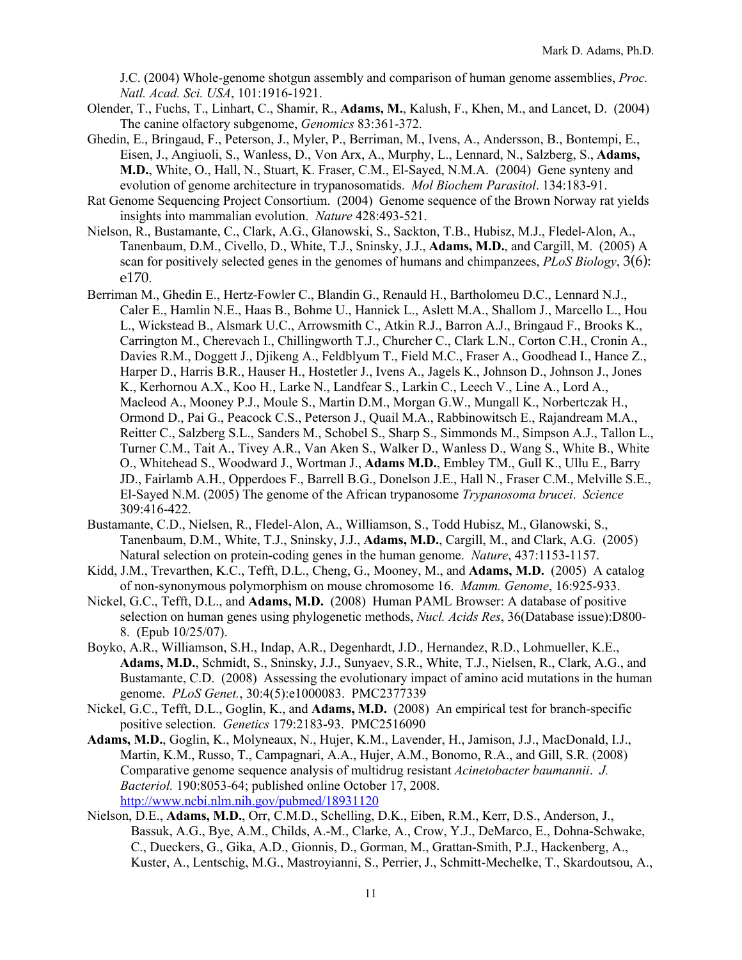J.C. (2004) Whole-genome shotgun assembly and comparison of human genome assemblies, *Proc. Natl. Acad. Sci. USA*, 101:1916-1921.

- Olender, T., Fuchs, T., Linhart, C., Shamir, R., **Adams, M.**, Kalush, F., Khen, M., and Lancet, D. (2004) The canine olfactory subgenome, *Genomics* 83:361-372.
- Ghedin, E., Bringaud, F., Peterson, J., Myler, P., Berriman, M., Ivens, A., Andersson, B., Bontempi, E., Eisen, J., Angiuoli, S., Wanless, D., Von Arx, A., Murphy, L., Lennard, N., Salzberg, S., **Adams, M.D.**, White, O., Hall, N., Stuart, K. Fraser, C.M., El-Sayed, N.M.A. (2004) Gene synteny and evolution of genome architecture in trypanosomatids. *Mol Biochem Parasitol*. 134:183-91.
- Rat Genome Sequencing Project Consortium. (2004) Genome sequence of the Brown Norway rat yields insights into mammalian evolution. *Nature* 428:493-521.
- Nielson, R., Bustamante, C., Clark, A.G., Glanowski, S., Sackton, T.B., Hubisz, M.J., Fledel-Alon, A., Tanenbaum, D.M., Civello, D., White, T.J., Sninsky, J.J., **Adams, M.D.**, and Cargill, M. (2005) A scan for positively selected genes in the genomes of humans and chimpanzees, *PLoS Biology*, 3(6): e170.
- Berriman M., Ghedin E., Hertz-Fowler C., Blandin G., Renauld H., Bartholomeu D.C., Lennard N.J., Caler E., Hamlin N.E., Haas B., Bohme U., Hannick L., Aslett M.A., Shallom J., Marcello L., Hou L., Wickstead B., Alsmark U.C., Arrowsmith C., Atkin R.J., Barron A.J., Bringaud F., Brooks K., Carrington M., Cherevach I., Chillingworth T.J., Churcher C., Clark L.N., Corton C.H., Cronin A., Davies R.M., Doggett J., Djikeng A., Feldblyum T., Field M.C., Fraser A., Goodhead I., Hance Z., Harper D., Harris B.R., Hauser H., Hostetler J., Ivens A., Jagels K., Johnson D., Johnson J., Jones K., Kerhornou A.X., Koo H., Larke N., Landfear S., Larkin C., Leech V., Line A., Lord A., Macleod A., Mooney P.J., Moule S., Martin D.M., Morgan G.W., Mungall K., Norbertczak H., Ormond D., Pai G., Peacock C.S., Peterson J., Quail M.A., Rabbinowitsch E., Rajandream M.A., Reitter C., Salzberg S.L., Sanders M., Schobel S., Sharp S., Simmonds M., Simpson A.J., Tallon L., Turner C.M., Tait A., Tivey A.R., Van Aken S., Walker D., Wanless D., Wang S., White B., White O., Whitehead S., Woodward J., Wortman J., **Adams M.D.**, Embley TM., Gull K., Ullu E., Barry JD., Fairlamb A.H., Opperdoes F., Barrell B.G., Donelson J.E., Hall N., Fraser C.M., Melville S.E., El-Sayed N.M. (2005) The genome of the African trypanosome *Trypanosoma brucei*. *Science* 309:416-422.
- Bustamante, C.D., Nielsen, R., Fledel-Alon, A., Williamson, S., Todd Hubisz, M., Glanowski, S., Tanenbaum, D.M., White, T.J., Sninsky, J.J., **Adams, M.D.**, Cargill, M., and Clark, A.G. (2005) Natural selection on protein-coding genes in the human genome. *Nature*, 437:1153-1157.
- Kidd, J.M., Trevarthen, K.C., Tefft, D.L., Cheng, G., Mooney, M., and **Adams, M.D.** (2005) A catalog of non-synonymous polymorphism on mouse chromosome 16. *Mamm. Genome*, 16:925-933.
- Nickel, G.C., Tefft, D.L., and **Adams, M.D.** (2008) Human PAML Browser: A database of positive selection on human genes using phylogenetic methods, *Nucl. Acids Res*, 36(Database issue):D800- 8. (Epub 10/25/07).
- Boyko, A.R., Williamson, S.H., Indap, A.R., Degenhardt, J.D., Hernandez, R.D., Lohmueller, K.E., **Adams, M.D.**, Schmidt, S., Sninsky, J.J., Sunyaev, S.R., White, T.J., Nielsen, R., Clark, A.G., and Bustamante, C.D. (2008) Assessing the evolutionary impact of amino acid mutations in the human genome. *PLoS Genet.*, 30:4(5):e1000083. PMC2377339
- Nickel, G.C., Tefft, D.L., Goglin, K., and **Adams, M.D.** (2008) An empirical test for branch-specific positive selection. *Genetics* 179:2183-93. PMC2516090
- **Adams, M.D.**, Goglin, K., Molyneaux, N., Hujer, K.M., Lavender, H., Jamison, J.J., MacDonald, I.J., Martin, K.M., Russo, T., Campagnari, A.A., Hujer, A.M., Bonomo, R.A., and Gill, S.R. (2008) Comparative genome sequence analysis of multidrug resistant *Acinetobacter baumannii*. *J. Bacteriol.* 190:8053-64; published online October 17, 2008. http://www.ncbi.nlm.nih.gov/pubmed/18931120
- Nielson, D.E., **Adams, M.D.**, Orr, C.M.D., Schelling, D.K., Eiben, R.M., Kerr, D.S., Anderson, J., Bassuk, A.G., Bye, A.M., Childs, A.-M., Clarke, A., Crow, Y.J., DeMarco, E., Dohna-Schwake, C., Dueckers, G., Gika, A.D., Gionnis, D., Gorman, M., Grattan-Smith, P.J., Hackenberg, A., Kuster, A., Lentschig, M.G., Mastroyianni, S., Perrier, J., Schmitt-Mechelke, T., Skardoutsou, A.,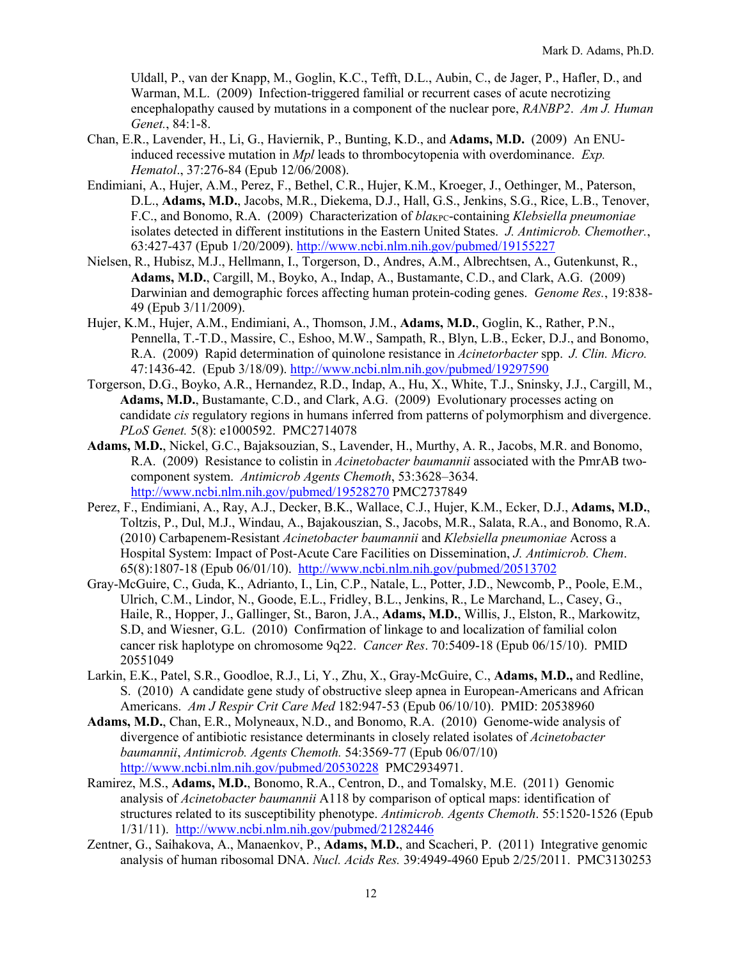Uldall, P., van der Knapp, M., Goglin, K.C., Tefft, D.L., Aubin, C., de Jager, P., Hafler, D., and Warman, M.L. (2009) Infection-triggered familial or recurrent cases of acute necrotizing encephalopathy caused by mutations in a component of the nuclear pore, *RANBP2*. *Am J. Human Genet.*, 84:1-8.

- Chan, E.R., Lavender, H., Li, G., Haviernik, P., Bunting, K.D., and **Adams, M.D.** (2009) An ENUinduced recessive mutation in *Mpl* leads to thrombocytopenia with overdominance. *Exp. Hematol*., 37:276-84 (Epub 12/06/2008).
- Endimiani, A., Hujer, A.M., Perez, F., Bethel, C.R., Hujer, K.M., Kroeger, J., Oethinger, M., Paterson, D.L., **Adams, M.D.**, Jacobs, M.R., Diekema, D.J., Hall, G.S., Jenkins, S.G., Rice, L.B., Tenover, F.C., and Bonomo, R.A. (2009) Characterization of  $bla_{\text{KPC}}$ -containing *Klebsiella pneumoniae* isolates detected in different institutions in the Eastern United States. *J. Antimicrob. Chemother.*, 63:427-437 (Epub 1/20/2009). http://www.ncbi.nlm.nih.gov/pubmed/19155227
- Nielsen, R., Hubisz, M.J., Hellmann, I., Torgerson, D., Andres, A.M., Albrechtsen, A., Gutenkunst, R., **Adams, M.D.**, Cargill, M., Boyko, A., Indap, A., Bustamante, C.D., and Clark, A.G. (2009) Darwinian and demographic forces affecting human protein-coding genes. *Genome Res.*, 19:838- 49 (Epub 3/11/2009).
- Hujer, K.M., Hujer, A.M., Endimiani, A., Thomson, J.M., **Adams, M.D.**, Goglin, K., Rather, P.N., Pennella, T.-T.D., Massire, C., Eshoo, M.W., Sampath, R., Blyn, L.B., Ecker, D.J., and Bonomo, R.A. (2009) Rapid determination of quinolone resistance in *Acinetorbacter* spp. *J. Clin. Micro.* 47:1436-42. (Epub 3/18/09). http://www.ncbi.nlm.nih.gov/pubmed/19297590
- Torgerson, D.G., Boyko, A.R., Hernandez, R.D., Indap, A., Hu, X., White, T.J., Sninsky, J.J., Cargill, M., **Adams, M.D.**, Bustamante, C.D., and Clark, A.G. (2009) Evolutionary processes acting on candidate *cis* regulatory regions in humans inferred from patterns of polymorphism and divergence. *PLoS Genet.* 5(8): e1000592. PMC2714078
- **Adams, M.D.**, Nickel, G.C., Bajaksouzian, S., Lavender, H., Murthy, A. R., Jacobs, M.R. and Bonomo, R.A. (2009) Resistance to colistin in *Acinetobacter baumannii* associated with the PmrAB twocomponent system. *Antimicrob Agents Chemoth*, 53:3628–3634. http://www.ncbi.nlm.nih.gov/pubmed/19528270 PMC2737849
- Perez, F., Endimiani, A., Ray, A.J., Decker, B.K., Wallace, C.J., Hujer, K.M., Ecker, D.J., **Adams, M.D.**, Toltzis, P., Dul, M.J., Windau, A., Bajakouszian, S., Jacobs, M.R., Salata, R.A., and Bonomo, R.A. (2010) Carbapenem-Resistant *Acinetobacter baumannii* and *Klebsiella pneumoniae* Across a Hospital System: Impact of Post-Acute Care Facilities on Dissemination, *J. Antimicrob. Chem*. 65(8):1807-18 (Epub 06/01/10). http://www.ncbi.nlm.nih.gov/pubmed/20513702
- Gray-McGuire, C., Guda, K., Adrianto, I., Lin, C.P., Natale, L., Potter, J.D., Newcomb, P., Poole, E.M., Ulrich, C.M., Lindor, N., Goode, E.L., Fridley, B.L., Jenkins, R., Le Marchand, L., Casey, G., Haile, R., Hopper, J., Gallinger, St., Baron, J.A., **Adams, M.D.**, Willis, J., Elston, R., Markowitz, S.D, and Wiesner, G.L. (2010) Confirmation of linkage to and localization of familial colon cancer risk haplotype on chromosome 9q22. *Cancer Res*. 70:5409-18 (Epub 06/15/10). PMID 20551049
- Larkin, E.K., Patel, S.R., Goodloe, R.J., Li, Y., Zhu, X., Gray-McGuire, C., **Adams, M.D.,** and Redline, S. (2010) A candidate gene study of obstructive sleep apnea in European-Americans and African Americans. *Am J Respir Crit Care Med* 182:947-53 (Epub 06/10/10). PMID: 20538960
- **Adams, M.D.**, Chan, E.R., Molyneaux, N.D., and Bonomo, R.A. (2010) Genome-wide analysis of divergence of antibiotic resistance determinants in closely related isolates of *Acinetobacter baumannii*, *Antimicrob. Agents Chemoth.* 54:3569-77 (Epub 06/07/10) http://www.ncbi.nlm.nih.gov/pubmed/20530228 PMC2934971.
- Ramirez, M.S., **Adams, M.D.**, Bonomo, R.A., Centron, D., and Tomalsky, M.E. (2011) Genomic analysis of *Acinetobacter baumannii* A118 by comparison of optical maps: identification of structures related to its susceptibility phenotype. *Antimicrob. Agents Chemoth*. 55:1520-1526 (Epub 1/31/11). http://www.ncbi.nlm.nih.gov/pubmed/21282446
- Zentner, G., Saihakova, A., Manaenkov, P., **Adams, M.D.**, and Scacheri, P. (2011) Integrative genomic analysis of human ribosomal DNA. *Nucl. Acids Res.* 39:4949-4960 Epub 2/25/2011. PMC3130253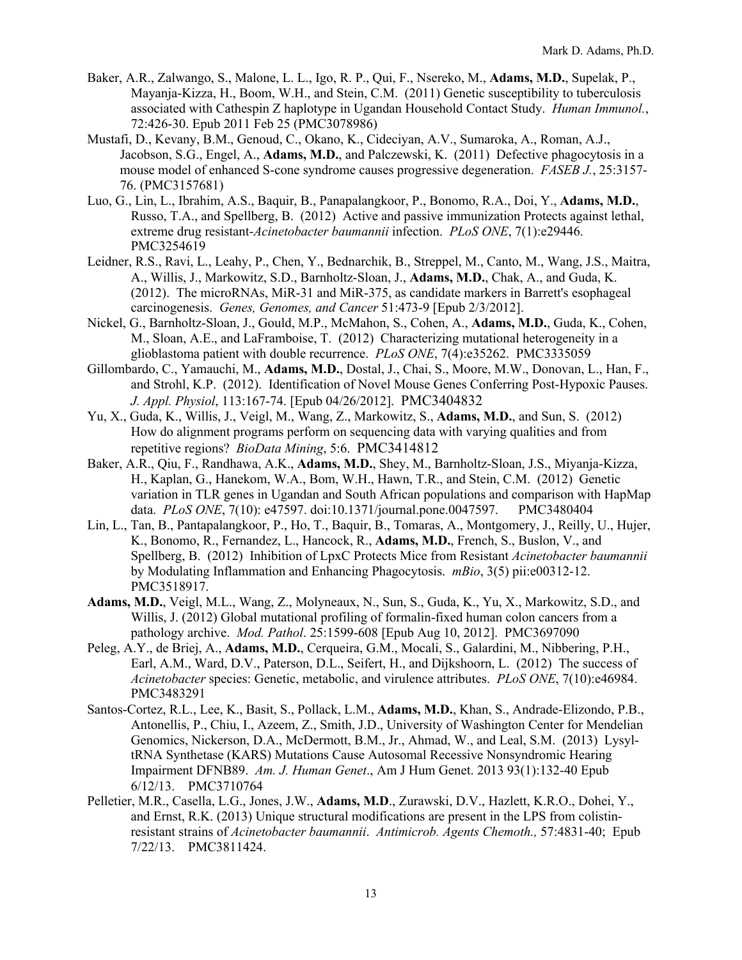- Baker, A.R., Zalwango, S., Malone, L. L., Igo, R. P., Qui, F., Nsereko, M., **Adams, M.D.**, Supelak, P., Mayanja-Kizza, H., Boom, W.H., and Stein, C.M. (2011) Genetic susceptibility to tuberculosis associated with Cathespin Z haplotype in Ugandan Household Contact Study. *Human Immunol.*, 72:426-30. Epub 2011 Feb 25 (PMC3078986)
- Mustafi, D., Kevany, B.M., Genoud, C., Okano, K., Cideciyan, A.V., Sumaroka, A., Roman, A.J., Jacobson, S.G., Engel, A., **Adams, M.D.**, and Palczewski, K. (2011) Defective phagocytosis in a mouse model of enhanced S-cone syndrome causes progressive degeneration. *FASEB J.*, 25:3157- 76. (PMC3157681)
- Luo, G., Lin, L., Ibrahim, A.S., Baquir, B., Panapalangkoor, P., Bonomo, R.A., Doi, Y., **Adams, M.D.**, Russo, T.A., and Spellberg, B. (2012) Active and passive immunization Protects against lethal, extreme drug resistant-*Acinetobacter baumannii* infection. *PLoS ONE*, 7(1):e29446. PMC3254619
- Leidner, R.S., Ravi, L., Leahy, P., Chen, Y., Bednarchik, B., Streppel, M., Canto, M., Wang, J.S., Maitra, A., Willis, J., Markowitz, S.D., Barnholtz-Sloan, J., **Adams, M.D.**, Chak, A., and Guda, K. (2012). The microRNAs, MiR-31 and MiR-375, as candidate markers in Barrett's esophageal carcinogenesis. *Genes, Genomes, and Cancer* 51:473-9 [Epub 2/3/2012].
- Nickel, G., Barnholtz-Sloan, J., Gould, M.P., McMahon, S., Cohen, A., **Adams, M.D.**, Guda, K., Cohen, M., Sloan, A.E., and LaFramboise, T. (2012) Characterizing mutational heterogeneity in a glioblastoma patient with double recurrence. *PLoS ONE*, 7(4):e35262. PMC3335059
- Gillombardo, C., Yamauchi, M., **Adams, M.D.**, Dostal, J., Chai, S., Moore, M.W., Donovan, L., Han, F., and Strohl, K.P. (2012). Identification of Novel Mouse Genes Conferring Post-Hypoxic Pauses. *J. Appl. Physiol*, 113:167-74. [Epub 04/26/2012]. PMC3404832
- Yu, X., Guda, K., Willis, J., Veigl, M., Wang, Z., Markowitz, S., **Adams, M.D.**, and Sun, S. (2012) How do alignment programs perform on sequencing data with varying qualities and from repetitive regions? *BioData Mining*, 5:6. PMC3414812
- Baker, A.R., Qiu, F., Randhawa, A.K., **Adams, M.D.**, Shey, M., Barnholtz-Sloan, J.S., Miyanja-Kizza, H., Kaplan, G., Hanekom, W.A., Bom, W.H., Hawn, T.R., and Stein, C.M. (2012) Genetic variation in TLR genes in Ugandan and South African populations and comparison with HapMap data. *PLoS ONE*, 7(10): e47597. doi:10.1371/journal.pone.0047597. PMC3480404
- Lin, L., Tan, B., Pantapalangkoor, P., Ho, T., Baquir, B., Tomaras, A., Montgomery, J., Reilly, U., Hujer, K., Bonomo, R., Fernandez, L., Hancock, R., **Adams, M.D.**, French, S., Buslon, V., and Spellberg, B. (2012) Inhibition of LpxC Protects Mice from Resistant *Acinetobacter baumannii* by Modulating Inflammation and Enhancing Phagocytosis. *mBio*, 3(5) pii:e00312-12. PMC3518917.
- **Adams, M.D.**, Veigl, M.L., Wang, Z., Molyneaux, N., Sun, S., Guda, K., Yu, X., Markowitz, S.D., and Willis, J. (2012) Global mutational profiling of formalin-fixed human colon cancers from a pathology archive. *Mod. Pathol*. 25:1599-608 [Epub Aug 10, 2012]. PMC3697090
- Peleg, A.Y., de Briej, A., **Adams, M.D.**, Cerqueira, G.M., Mocali, S., Galardini, M., Nibbering, P.H., Earl, A.M., Ward, D.V., Paterson, D.L., Seifert, H., and Dijkshoorn, L. (2012) The success of *Acinetobacter* species: Genetic, metabolic, and virulence attributes. *PLoS ONE*, 7(10):e46984. PMC3483291
- Santos-Cortez, R.L., Lee, K., Basit, S., Pollack, L.M., **Adams, M.D.**, Khan, S., Andrade-Elizondo, P.B., Antonellis, P., Chiu, I., Azeem, Z., Smith, J.D., University of Washington Center for Mendelian Genomics, Nickerson, D.A., McDermott, B.M., Jr., Ahmad, W., and Leal, S.M. (2013) LysyltRNA Synthetase (KARS) Mutations Cause Autosomal Recessive Nonsyndromic Hearing Impairment DFNB89. *Am. J. Human Genet*., Am J Hum Genet. 2013 93(1):132-40 Epub 6/12/13. PMC3710764
- Pelletier, M.R., Casella, L.G., Jones, J.W., **Adams, M.D**., Zurawski, D.V., Hazlett, K.R.O., Dohei, Y., and Ernst, R.K. (2013) Unique structural modifications are present in the LPS from colistinresistant strains of *Acinetobacter baumannii*. *Antimicrob. Agents Chemoth.,* 57:4831-40; Epub 7/22/13. PMC3811424.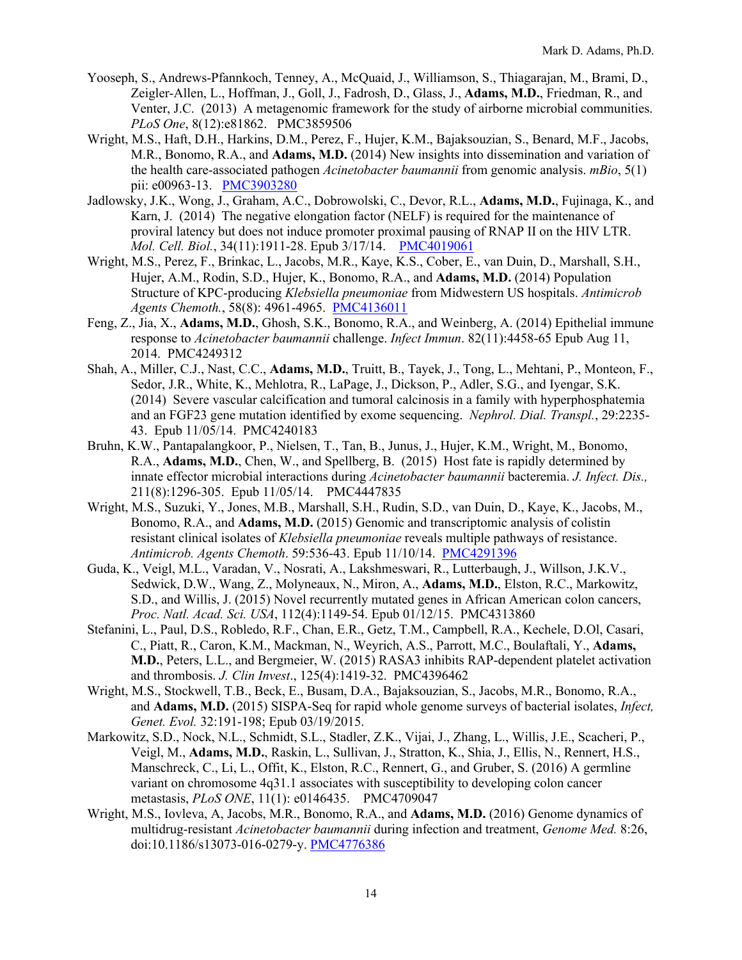- Yooseph, S., Andrews-Pfannkoch, Tenney, A., McQuaid, J., Williamson, S., Thiagarajan, M., Brami, D., Zeigler-Allen, L., Hoffman, J., Goll, J., Fadrosh, D., Glass, J., **Adams, M.D.**, Friedman, R., and Venter, J.C. (2013) A metagenomic framework for the study of airborne microbial communities. *PLoS One*, 8(12):e81862. PMC3859506
- Wright, M.S., Haft, D.H., Harkins, D.M., Perez, F., Hujer, K.M., Bajaksouzian, S., Benard, M.F., Jacobs, M.R., Bonomo, R.A., and **Adams, M.D.** (2014) New insights into dissemination and variation of the health care-associated pathogen *Acinetobacter baumannii* from genomic analysis. *mBio*, 5(1) pii: e00963-13. PMC3903280
- Jadlowsky, J.K., Wong, J., Graham, A.C., Dobrowolski, C., Devor, R.L., **Adams, M.D.**, Fujinaga, K., and Karn, J. (2014) The negative elongation factor (NELF) is required for the maintenance of proviral latency but does not induce promoter proximal pausing of RNAP II on the HIV LTR. *Mol. Cell. Biol.*, 34(11):1911-28. Epub 3/17/14. PMC4019061
- Wright, M.S., Perez, F., Brinkac, L., Jacobs, M.R., Kaye, K.S., Cober, E., van Duin, D., Marshall, S.H., Hujer, A.M., Rodin, S.D., Hujer, K., Bonomo, R.A., and **Adams, M.D.** (2014) Population Structure of KPC-producing *Klebsiella pneumoniae* from Midwestern US hospitals. *Antimicrob*  Agents Chemoth., 58(8): 4961-4965. PMC4136011
- Feng, Z., Jia, X., **Adams, M.D.**, Ghosh, S.K., Bonomo, R.A., and Weinberg, A. (2014) Epithelial immune response to *Acinetobacter baumannii* challenge. *Infect Immun*. 82(11):4458-65 Epub Aug 11, 2014. PMC4249312
- Shah, A., Miller, C.J., Nast, C.C., **Adams, M.D.**, Truitt, B., Tayek, J., Tong, L., Mehtani, P., Monteon, F., Sedor, J.R., White, K., Mehlotra, R., LaPage, J., Dickson, P., Adler, S.G., and Iyengar, S.K. (2014) Severe vascular calcification and tumoral calcinosis in a family with hyperphosphatemia and an FGF23 gene mutation identified by exome sequencing. *Nephrol. Dial. Transpl.*, 29:2235- 43. Epub 11/05/14. PMC4240183
- Bruhn, K.W., Pantapalangkoor, P., Nielsen, T., Tan, B., Junus, J., Hujer, K.M., Wright, M., Bonomo, R.A., **Adams, M.D.**, Chen, W., and Spellberg, B. (2015) Host fate is rapidly determined by innate effector microbial interactions during *Acinetobacter baumannii* bacteremia. *J. Infect. Dis.,*  211(8):1296-305. Epub 11/05/14. PMC4447835
- Wright, M.S., Suzuki, Y., Jones, M.B., Marshall, S.H., Rudin, S.D., van Duin, D., Kaye, K., Jacobs, M., Bonomo, R.A., and **Adams, M.D.** (2015) Genomic and transcriptomic analysis of colistin resistant clinical isolates of *Klebsiella pneumoniae* reveals multiple pathways of resistance. *Antimicrob. Agents Chemoth*. 59:536-43. Epub 11/10/14. PMC4291396
- Guda, K., Veigl, M.L., Varadan, V., Nosrati, A., Lakshmeswari, R., Lutterbaugh, J., Willson, J.K.V., Sedwick, D.W., Wang, Z., Molyneaux, N., Miron, A., **Adams, M.D.**, Elston, R.C., Markowitz, S.D., and Willis, J. (2015) Novel recurrently mutated genes in African American colon cancers, *Proc. Natl. Acad. Sci. USA*, 112(4):1149-54. Epub 01/12/15. PMC4313860
- Stefanini, L., Paul, D.S., Robledo, R.F., Chan, E.R., Getz, T.M., Campbell, R.A., Kechele, D.Ol, Casari, C., Piatt, R., Caron, K.M., Mackman, N., Weyrich, A.S., Parrott, M.C., Boulaftali, Y., **Adams, M.D.**, Peters, L.L., and Bergmeier, W. (2015) RASA3 inhibits RAP-dependent platelet activation and thrombosis. *J. Clin Invest*., 125(4):1419-32. PMC4396462
- Wright, M.S., Stockwell, T.B., Beck, E., Busam, D.A., Bajaksouzian, S., Jacobs, M.R., Bonomo, R.A., and **Adams, M.D.** (2015) SISPA-Seq for rapid whole genome surveys of bacterial isolates, *Infect, Genet. Evol.* 32:191-198; Epub 03/19/2015.
- Markowitz, S.D., Nock, N.L., Schmidt, S.L., Stadler, Z.K., Vijai, J., Zhang, L., Willis, J.E., Scacheri, P., Veigl, M., **Adams, M.D.**, Raskin, L., Sullivan, J., Stratton, K., Shia, J., Ellis, N., Rennert, H.S., Manschreck, C., Li, L., Offit, K., Elston, R.C., Rennert, G., and Gruber, S. (2016) A germline variant on chromosome 4q31.1 associates with susceptibility to developing colon cancer metastasis, *PLoS ONE*, 11(1): e0146435. PMC4709047
- Wright, M.S., Iovleva, A, Jacobs, M.R., Bonomo, R.A., and **Adams, M.D.** (2016) Genome dynamics of multidrug-resistant *Acinetobacter baumannii* during infection and treatment, *Genome Med.* 8:26, doi:10.1186/s13073-016-0279-y. PMC4776386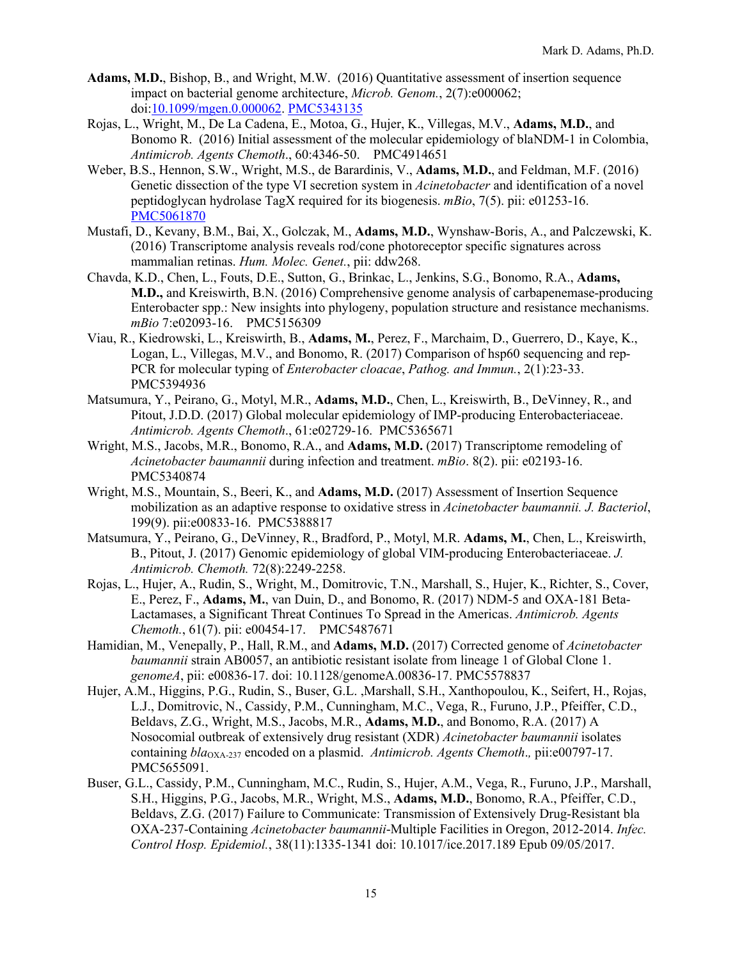- **Adams, M.D.**, Bishop, B., and Wright, M.W. (2016) Quantitative assessment of insertion sequence impact on bacterial genome architecture, *Microb. Genom.*, 2(7):e000062; doi:10.1099/mgen.0.000062. PMC5343135
- Rojas, L., Wright, M., De La Cadena, E., Motoa, G., Hujer, K., Villegas, M.V., **Adams, M.D.**, and Bonomo R. (2016) Initial assessment of the molecular epidemiology of blaNDM-1 in Colombia, *Antimicrob. Agents Chemoth*., 60:4346-50. PMC4914651
- Weber, B.S., Hennon, S.W., Wright, M.S., de Barardinis, V., **Adams, M.D.**, and Feldman, M.F. (2016) Genetic dissection of the type VI secretion system in *Acinetobacter* and identification of a novel peptidoglycan hydrolase TagX required for its biogenesis. *mBio*, 7(5). pii: e01253-16. PMC5061870
- Mustafi, D., Kevany, B.M., Bai, X., Golczak, M., **Adams, M.D.**, Wynshaw-Boris, A., and Palczewski, K. (2016) Transcriptome analysis reveals rod/cone photoreceptor specific signatures across mammalian retinas. *Hum. Molec. Genet.*, pii: ddw268.
- Chavda, K.D., Chen, L., Fouts, D.E., Sutton, G., Brinkac, L., Jenkins, S.G., Bonomo, R.A., **Adams, M.D.,** and Kreiswirth, B.N. (2016) Comprehensive genome analysis of carbapenemase-producing Enterobacter spp.: New insights into phylogeny, population structure and resistance mechanisms. *mBio* 7:e02093-16. PMC5156309
- Viau, R., Kiedrowski, L., Kreiswirth, B., **Adams, M.**, Perez, F., Marchaim, D., Guerrero, D., Kaye, K., Logan, L., Villegas, M.V., and Bonomo, R. (2017) Comparison of hsp60 sequencing and rep-PCR for molecular typing of *Enterobacter cloacae*, *Pathog. and Immun.*, 2(1):23-33. PMC5394936
- Matsumura, Y., Peirano, G., Motyl, M.R., **Adams, M.D.**, Chen, L., Kreiswirth, B., DeVinney, R., and Pitout, J.D.D. (2017) Global molecular epidemiology of IMP-producing Enterobacteriaceae. *Antimicrob. Agents Chemoth*., 61:e02729-16. PMC5365671
- Wright, M.S., Jacobs, M.R., Bonomo, R.A., and **Adams, M.D.** (2017) Transcriptome remodeling of *Acinetobacter baumannii* during infection and treatment. *mBio*. 8(2). pii: e02193-16. PMC5340874
- Wright, M.S., Mountain, S., Beeri, K., and **Adams, M.D.** (2017) Assessment of Insertion Sequence mobilization as an adaptive response to oxidative stress in *Acinetobacter baumannii. J. Bacteriol*, 199(9). pii:e00833-16. PMC5388817
- Matsumura, Y., Peirano, G., DeVinney, R., Bradford, P., Motyl, M.R. **Adams, M.**, Chen, L., Kreiswirth, B., Pitout, J. (2017) Genomic epidemiology of global VIM-producing Enterobacteriaceae. *J. Antimicrob. Chemoth.* 72(8):2249-2258.
- Rojas, L., Hujer, A., Rudin, S., Wright, M., Domitrovic, T.N., Marshall, S., Hujer, K., Richter, S., Cover, E., Perez, F., **Adams, M.**, van Duin, D., and Bonomo, R. (2017) NDM-5 and OXA-181 Beta-Lactamases, a Significant Threat Continues To Spread in the Americas. *Antimicrob. Agents Chemoth.*, 61(7). pii: e00454-17. PMC5487671
- Hamidian, M., Venepally, P., Hall, R.M., and **Adams, M.D.** (2017) Corrected genome of *Acinetobacter baumannii* strain AB0057, an antibiotic resistant isolate from lineage 1 of Global Clone 1. *genomeA*, pii: e00836-17. doi: 10.1128/genomeA.00836-17. PMC5578837
- Hujer, A.M., Higgins, P.G., Rudin, S., Buser, G.L. ,Marshall, S.H., Xanthopoulou, K., Seifert, H., Rojas, L.J., Domitrovic, N., Cassidy, P.M., Cunningham, M.C., Vega, R., Furuno, J.P., Pfeiffer, C.D., Beldavs, Z.G., Wright, M.S., Jacobs, M.R., **Adams, M.D.**, and Bonomo, R.A. (2017) A Nosocomial outbreak of extensively drug resistant (XDR) *Acinetobacter baumannii* isolates containing *bla*OXA-237 encoded on a plasmid. *Antimicrob. Agents Chemoth*.*,* pii:e00797-17. PMC5655091.
- Buser, G.L., Cassidy, P.M., Cunningham, M.C., Rudin, S., Hujer, A.M., Vega, R., Furuno, J.P., Marshall, S.H., Higgins, P.G., Jacobs, M.R., Wright, M.S., **Adams, M.D.**, Bonomo, R.A., Pfeiffer, C.D., Beldavs, Z.G. (2017) Failure to Communicate: Transmission of Extensively Drug-Resistant bla OXA-237-Containing *Acinetobacter baumannii*-Multiple Facilities in Oregon, 2012-2014. *Infec. Control Hosp. Epidemiol.*, 38(11):1335-1341 doi: 10.1017/ice.2017.189 Epub 09/05/2017.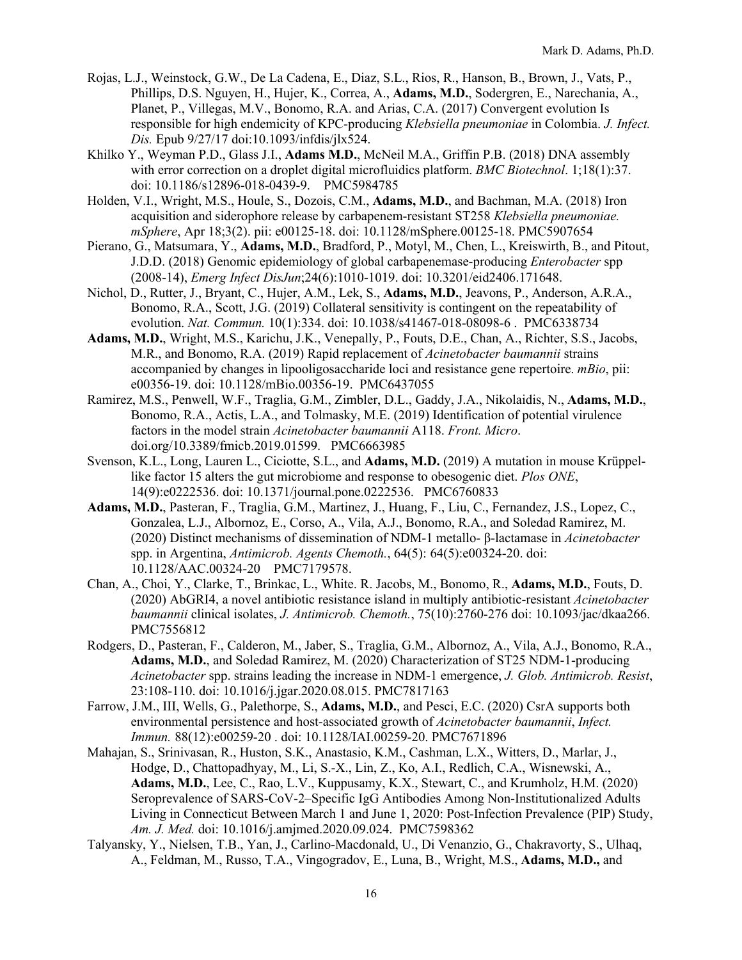- Rojas, L.J., Weinstock, G.W., De La Cadena, E., Diaz, S.L., Rios, R., Hanson, B., Brown, J., Vats, P., Phillips, D.S. Nguyen, H., Hujer, K., Correa, A., **Adams, M.D.**, Sodergren, E., Narechania, A., Planet, P., Villegas, M.V., Bonomo, R.A. and Arias, C.A. (2017) Convergent evolution Is responsible for high endemicity of KPC-producing *Klebsiella pneumoniae* in Colombia. *J. Infect. Dis.* Epub 9/27/17 doi:10.1093/infdis/jlx524.
- Khilko Y., Weyman P.D., Glass J.I., **Adams M.D.**, McNeil M.A., Griffin P.B. (2018) DNA assembly with error correction on a droplet digital microfluidics platform. *BMC Biotechnol*. 1;18(1):37. doi: 10.1186/s12896-018-0439-9. PMC5984785
- Holden, V.I., Wright, M.S., Houle, S., Dozois, C.M., **Adams, M.D.**, and Bachman, M.A. (2018) Iron acquisition and siderophore release by carbapenem-resistant ST258 *Klebsiella pneumoniae. mSphere*, Apr 18;3(2). pii: e00125-18. doi: 10.1128/mSphere.00125-18. PMC5907654
- Pierano, G., Matsumara, Y., **Adams, M.D.**, Bradford, P., Motyl, M., Chen, L., Kreiswirth, B., and Pitout, J.D.D. (2018) Genomic epidemiology of global carbapenemase-producing *Enterobacter* spp (2008-14), *Emerg Infect DisJun*;24(6):1010-1019. doi: 10.3201/eid2406.171648.
- Nichol, D., Rutter, J., Bryant, C., Hujer, A.M., Lek, S., **Adams, M.D.**, Jeavons, P., Anderson, A.R.A., Bonomo, R.A., Scott, J.G. (2019) Collateral sensitivity is contingent on the repeatability of evolution. *Nat. Commun.* 10(1):334. doi: 10.1038/s41467-018-08098-6 . PMC6338734
- **Adams, M.D.**, Wright, M.S., Karichu, J.K., Venepally, P., Fouts, D.E., Chan, A., Richter, S.S., Jacobs, M.R., and Bonomo, R.A. (2019) Rapid replacement of *Acinetobacter baumannii* strains accompanied by changes in lipooligosaccharide loci and resistance gene repertoire. *mBio*, pii: e00356-19. doi: 10.1128/mBio.00356-19. PMC6437055
- Ramirez, M.S., Penwell, W.F., Traglia, G.M., Zimbler, D.L., Gaddy, J.A., Nikolaidis, N., **Adams, M.D.**, Bonomo, R.A., Actis, L.A., and Tolmasky, M.E. (2019) Identification of potential virulence factors in the model strain *Acinetobacter baumannii* A118. *Front. Micro*. doi.org/10.3389/fmicb.2019.01599. PMC6663985
- Svenson, K.L., Long, Lauren L., Ciciotte, S.L., and **Adams, M.D.** (2019) A mutation in mouse Krüppellike factor 15 alters the gut microbiome and response to obesogenic diet. *Plos ONE*, 14(9):e0222536. doi: 10.1371/journal.pone.0222536. PMC6760833
- **Adams, M.D.**, Pasteran, F., Traglia, G.M., Martinez, J., Huang, F., Liu, C., Fernandez, J.S., Lopez, C., Gonzalea, L.J., Albornoz, E., Corso, A., Vila, A.J., Bonomo, R.A., and Soledad Ramirez, M. (2020) Distinct mechanisms of dissemination of NDM-1 metallo- β-lactamase in *Acinetobacter* spp. in Argentina, *Antimicrob. Agents Chemoth.*, 64(5): 64(5):e00324-20. doi: 10.1128/AAC.00324-20 PMC7179578.
- Chan, A., Choi, Y., Clarke, T., Brinkac, L., White. R. Jacobs, M., Bonomo, R., **Adams, M.D.**, Fouts, D. (2020) AbGRI4, a novel antibiotic resistance island in multiply antibiotic-resistant *Acinetobacter baumannii* clinical isolates, *J. Antimicrob. Chemoth.*, 75(10):2760-276 doi: 10.1093/jac/dkaa266. PMC7556812
- Rodgers, D., Pasteran, F., Calderon, M., Jaber, S., Traglia, G.M., Albornoz, A., Vila, A.J., Bonomo, R.A., **Adams, M.D.**, and Soledad Ramirez, M. (2020) Characterization of ST25 NDM-1-producing *Acinetobacter* spp. strains leading the increase in NDM-1 emergence, *J. Glob. Antimicrob. Resist*, 23:108-110. doi: 10.1016/j.jgar.2020.08.015. PMC7817163
- Farrow, J.M., III, Wells, G., Palethorpe, S., **Adams, M.D.**, and Pesci, E.C. (2020) CsrA supports both environmental persistence and host-associated growth of *Acinetobacter baumannii*, *Infect. Immun.* 88(12):e00259-20 . doi: 10.1128/IAI.00259-20. PMC7671896
- Mahajan, S., Srinivasan, R., Huston, S.K., Anastasio, K.M., Cashman, L.X., Witters, D., Marlar, J., Hodge, D., Chattopadhyay, M., Li, S.-X., Lin, Z., Ko, A.I., Redlich, C.A., Wisnewski, A., **Adams, M.D.**, Lee, C., Rao, L.V., Kuppusamy, K.X., Stewart, C., and Krumholz, H.M. (2020) Seroprevalence of SARS-CoV-2–Specific IgG Antibodies Among Non-Institutionalized Adults Living in Connecticut Between March 1 and June 1, 2020: Post-Infection Prevalence (PIP) Study, *Am. J. Med.* doi: 10.1016/j.amjmed.2020.09.024. PMC7598362
- Talyansky, Y., Nielsen, T.B., Yan, J., Carlino-Macdonald, U., Di Venanzio, G., Chakravorty, S., Ulhaq, A., Feldman, M., Russo, T.A., Vingogradov, E., Luna, B., Wright, M.S., **Adams, M.D.,** and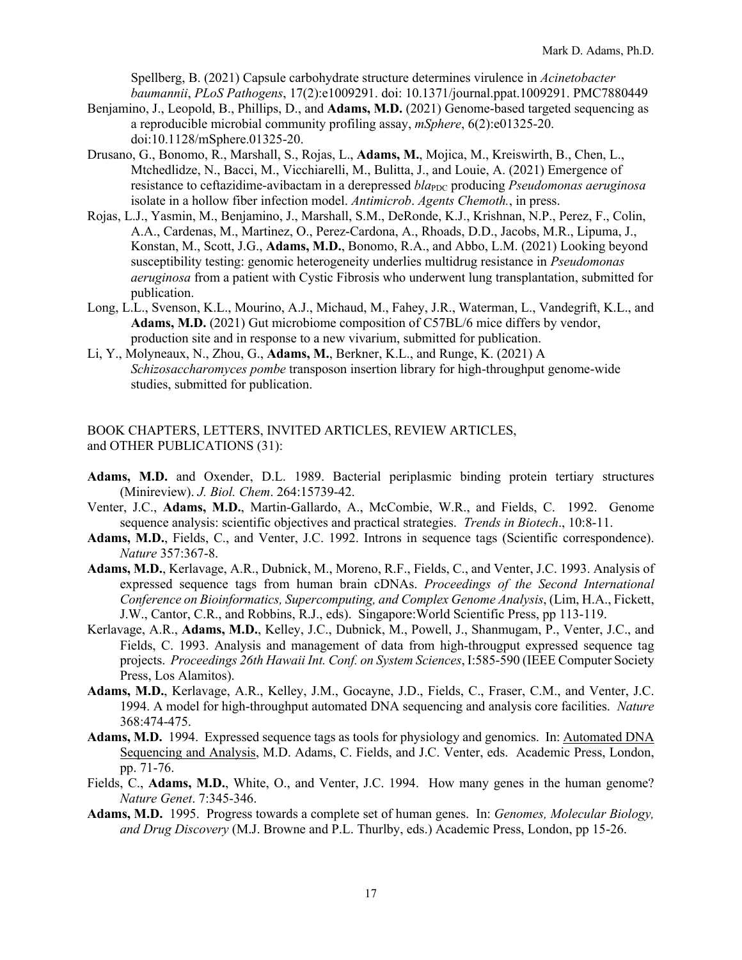Spellberg, B. (2021) Capsule carbohydrate structure determines virulence in *Acinetobacter baumannii*, *PLoS Pathogens*, 17(2):e1009291. doi: 10.1371/journal.ppat.1009291. PMC7880449

- Benjamino, J., Leopold, B., Phillips, D., and **Adams, M.D.** (2021) Genome-based targeted sequencing as a reproducible microbial community profiling assay, *mSphere*, 6(2):e01325-20. doi:10.1128/mSphere.01325-20.
- Drusano, G., Bonomo, R., Marshall, S., Rojas, L., **Adams, M.**, Mojica, M., Kreiswirth, B., Chen, L., Mtchedlidze, N., Bacci, M., Vicchiarelli, M., Bulitta, J., and Louie, A. (2021) Emergence of resistance to ceftazidime-avibactam in a derepressed *bla*<sub>PDC</sub> producing *Pseudomonas aeruginosa* isolate in a hollow fiber infection model. *Antimicrob*. *Agents Chemoth.*, in press.
- Rojas, L.J., Yasmin, M., Benjamino, J., Marshall, S.M., DeRonde, K.J., Krishnan, N.P., Perez, F., Colin, A.A., Cardenas, M., Martinez, O., Perez-Cardona, A., Rhoads, D.D., Jacobs, M.R., Lipuma, J., Konstan, M., Scott, J.G., **Adams, M.D.**, Bonomo, R.A., and Abbo, L.M. (2021) Looking beyond susceptibility testing: genomic heterogeneity underlies multidrug resistance in *Pseudomonas aeruginosa* from a patient with Cystic Fibrosis who underwent lung transplantation, submitted for publication.
- Long, L.L., Svenson, K.L., Mourino, A.J., Michaud, M., Fahey, J.R., Waterman, L., Vandegrift, K.L., and **Adams, M.D.** (2021) Gut microbiome composition of C57BL/6 mice differs by vendor, production site and in response to a new vivarium, submitted for publication.
- Li, Y., Molyneaux, N., Zhou, G., **Adams, M.**, Berkner, K.L., and Runge, K. (2021) A *Schizosaccharomyces pombe* transposon insertion library for high-throughput genome-wide studies, submitted for publication.

BOOK CHAPTERS, LETTERS, INVITED ARTICLES, REVIEW ARTICLES, and OTHER PUBLICATIONS (31):

- **Adams, M.D.** and Oxender, D.L. 1989. Bacterial periplasmic binding protein tertiary structures (Minireview). *J. Biol. Chem*. 264:15739-42.
- Venter, J.C., **Adams, M.D.**, Martin-Gallardo, A., McCombie, W.R., and Fields, C. 1992. Genome sequence analysis: scientific objectives and practical strategies. *Trends in Biotech*., 10:8-11.
- **Adams, M.D.**, Fields, C., and Venter, J.C. 1992. Introns in sequence tags (Scientific correspondence). *Nature* 357:367-8.
- **Adams, M.D.**, Kerlavage, A.R., Dubnick, M., Moreno, R.F., Fields, C., and Venter, J.C. 1993. Analysis of expressed sequence tags from human brain cDNAs. *Proceedings of the Second International Conference on Bioinformatics, Supercomputing, and Complex Genome Analysis*, (Lim, H.A., Fickett, J.W., Cantor, C.R., and Robbins, R.J., eds). Singapore:World Scientific Press, pp 113-119.
- Kerlavage, A.R., **Adams, M.D.**, Kelley, J.C., Dubnick, M., Powell, J., Shanmugam, P., Venter, J.C., and Fields, C. 1993. Analysis and management of data from high-througput expressed sequence tag projects. *Proceedings 26th Hawaii Int. Conf. on System Sciences*, I:585-590 (IEEE Computer Society Press, Los Alamitos).
- **Adams, M.D.**, Kerlavage, A.R., Kelley, J.M., Gocayne, J.D., Fields, C., Fraser, C.M., and Venter, J.C. 1994. A model for high-throughput automated DNA sequencing and analysis core facilities. *Nature* 368:474-475.
- **Adams, M.D.** 1994. Expressed sequence tags as tools for physiology and genomics. In: Automated DNA Sequencing and Analysis, M.D. Adams, C. Fields, and J.C. Venter, eds. Academic Press, London, pp. 71-76.
- Fields, C., **Adams, M.D.**, White, O., and Venter, J.C. 1994. How many genes in the human genome? *Nature Genet*. 7:345-346.
- **Adams, M.D.** 1995. Progress towards a complete set of human genes. In: *Genomes, Molecular Biology, and Drug Discovery* (M.J. Browne and P.L. Thurlby, eds.) Academic Press, London, pp 15-26.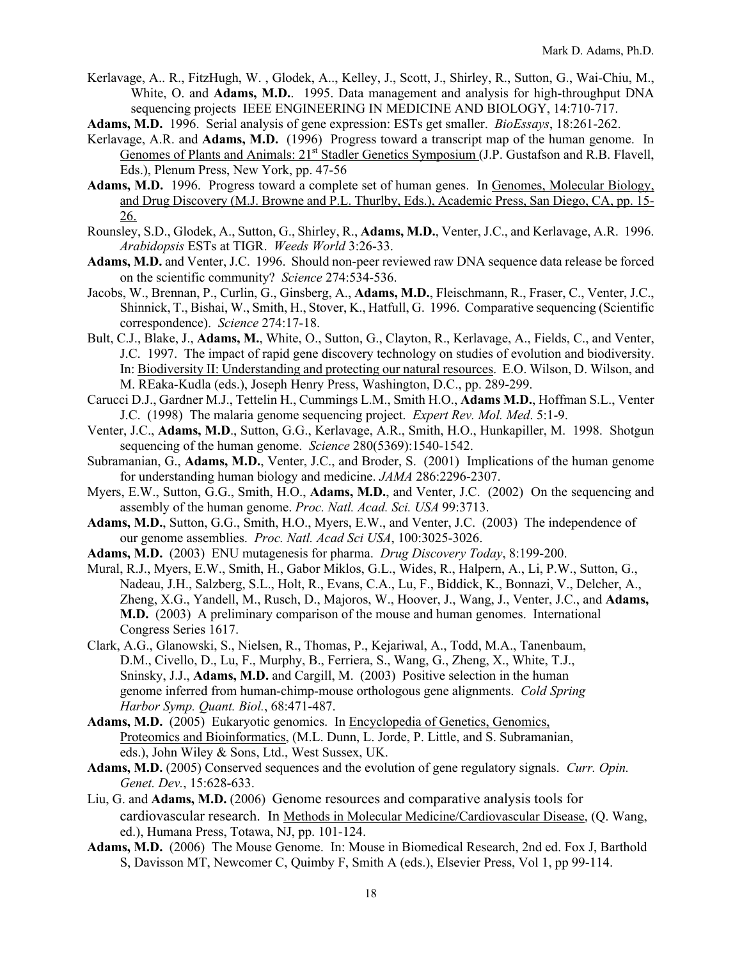- Kerlavage, A.. R., FitzHugh, W. , Glodek, A.., Kelley, J., Scott, J., Shirley, R., Sutton, G., Wai-Chiu, M., White, O. and **Adams, M.D.**. 1995. Data management and analysis for high-throughput DNA sequencing projects IEEE ENGINEERING IN MEDICINE AND BIOLOGY, 14:710-717.
- **Adams, M.D.** 1996. Serial analysis of gene expression: ESTs get smaller. *BioEssays*, 18:261-262.
- Kerlavage, A.R. and **Adams, M.D.** (1996) Progress toward a transcript map of the human genome. In Genomes of Plants and Animals: 21<sup>st</sup> Stadler Genetics Symposium (J.P. Gustafson and R.B. Flavell, Eds.), Plenum Press, New York, pp. 47-56
- **Adams, M.D.** 1996. Progress toward a complete set of human genes. In Genomes, Molecular Biology, and Drug Discovery (M.J. Browne and P.L. Thurlby, Eds.), Academic Press, San Diego, CA, pp. 15- 26.
- Rounsley, S.D., Glodek, A., Sutton, G., Shirley, R., **Adams, M.D.**, Venter, J.C., and Kerlavage, A.R. 1996. *Arabidopsis* ESTs at TIGR. *Weeds World* 3:26-33.
- **Adams, M.D.** and Venter, J.C. 1996. Should non-peer reviewed raw DNA sequence data release be forced on the scientific community? *Science* 274:534-536.
- Jacobs, W., Brennan, P., Curlin, G., Ginsberg, A., **Adams, M.D.**, Fleischmann, R., Fraser, C., Venter, J.C., Shinnick, T., Bishai, W., Smith, H., Stover, K., Hatfull, G. 1996. Comparative sequencing (Scientific correspondence). *Science* 274:17-18.
- Bult, C.J., Blake, J., **Adams, M.**, White, O., Sutton, G., Clayton, R., Kerlavage, A., Fields, C., and Venter, J.C. 1997. The impact of rapid gene discovery technology on studies of evolution and biodiversity. In: Biodiversity II: Understanding and protecting our natural resources. E.O. Wilson, D. Wilson, and M. REaka-Kudla (eds.), Joseph Henry Press, Washington, D.C., pp. 289-299.
- Carucci D.J., Gardner M.J., Tettelin H., Cummings L.M., Smith H.O., **Adams M.D.**, Hoffman S.L., Venter J.C. (1998) The malaria genome sequencing project. *Expert Rev. Mol. Med*. 5:1-9.
- Venter, J.C., **Adams, M.D**., Sutton, G.G., Kerlavage, A.R., Smith, H.O., Hunkapiller, M. 1998. Shotgun sequencing of the human genome. *Science* 280(5369):1540-1542.
- Subramanian, G., **Adams, M.D.**, Venter, J.C., and Broder, S. (2001) Implications of the human genome for understanding human biology and medicine. *JAMA* 286:2296-2307.
- Myers, E.W., Sutton, G.G., Smith, H.O., **Adams, M.D.**, and Venter, J.C. (2002) On the sequencing and assembly of the human genome. *Proc. Natl. Acad. Sci. USA* 99:3713.
- **Adams, M.D.**, Sutton, G.G., Smith, H.O., Myers, E.W., and Venter, J.C. (2003) The independence of our genome assemblies. *Proc. Natl. Acad Sci USA*, 100:3025-3026.
- **Adams, M.D.** (2003) ENU mutagenesis for pharma. *Drug Discovery Today*, 8:199-200.
- Mural, R.J., Myers, E.W., Smith, H., Gabor Miklos, G.L., Wides, R., Halpern, A., Li, P.W., Sutton, G., Nadeau, J.H., Salzberg, S.L., Holt, R., Evans, C.A., Lu, F., Biddick, K., Bonnazi, V., Delcher, A., Zheng, X.G., Yandell, M., Rusch, D., Majoros, W., Hoover, J., Wang, J., Venter, J.C., and **Adams, M.D.** (2003) A preliminary comparison of the mouse and human genomes. International Congress Series 1617.
- Clark, A.G., Glanowski, S., Nielsen, R., Thomas, P., Kejariwal, A., Todd, M.A., Tanenbaum, D.M., Civello, D., Lu, F., Murphy, B., Ferriera, S., Wang, G., Zheng, X., White, T.J., Sninsky, J.J., **Adams, M.D.** and Cargill, M. (2003) Positive selection in the human genome inferred from human-chimp-mouse orthologous gene alignments. *Cold Spring Harbor Symp. Quant. Biol.*, 68:471-487.
- **Adams, M.D.** (2005) Eukaryotic genomics. In Encyclopedia of Genetics, Genomics, Proteomics and Bioinformatics, (M.L. Dunn, L. Jorde, P. Little, and S. Subramanian, eds.), John Wiley & Sons, Ltd., West Sussex, UK.
- **Adams, M.D.** (2005) Conserved sequences and the evolution of gene regulatory signals. *Curr. Opin. Genet. Dev.*, 15:628-633.
- Liu, G. and **Adams, M.D.** (2006) Genome resources and comparative analysis tools for cardiovascular research. In Methods in Molecular Medicine/Cardiovascular Disease, (Q. Wang, ed.), Humana Press, Totawa, NJ, pp. 101-124.
- **Adams, M.D.** (2006) The Mouse Genome. In: Mouse in Biomedical Research, 2nd ed. Fox J, Barthold S, Davisson MT, Newcomer C, Quimby F, Smith A (eds.), Elsevier Press, Vol 1, pp 99-114.